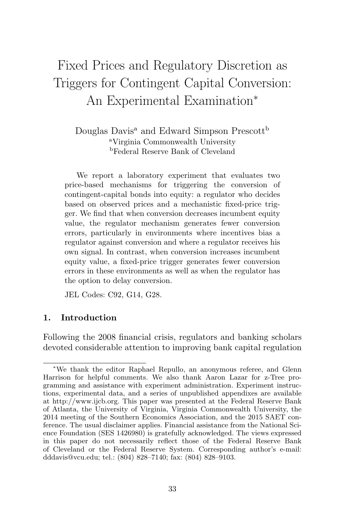# Fixed Prices and Regulatory Discretion as Triggers for Contingent Capital Conversion: An Experimental Examination<sup>∗</sup>

Douglas Davis<sup>a</sup> and Edward Simpson Prescott<sup>b</sup> <sup>a</sup>Virginia Commonwealth University <sup>b</sup>Federal Reserve Bank of Cleveland

We report a laboratory experiment that evaluates two price-based mechanisms for triggering the conversion of contingent-capital bonds into equity: a regulator who decides based on observed prices and a mechanistic fixed-price trigger. We find that when conversion decreases incumbent equity value, the regulator mechanism generates fewer conversion errors, particularly in environments where incentives bias a regulator against conversion and where a regulator receives his own signal. In contrast, when conversion increases incumbent equity value, a fixed-price trigger generates fewer conversion errors in these environments as well as when the regulator has the option to delay conversion.

JEL Codes: C92, G14, G28.

## **1. Introduction**

Following the 2008 financial crisis, regulators and banking scholars devoted considerable attention to improving bank capital regulation

<sup>∗</sup>We thank the editor Raphael Repullo, an anonymous referee, and Glenn Harrison for helpful comments. We also thank Aaron Lazar for z-Tree programming and assistance with experiment administration. Experiment instructions, experimental data, and a series of unpublished appendixes are available at http://www.ijcb.org. This paper was presented at the Federal Reserve Bank of Atlanta, the University of Virginia, Virginia Commonwealth University, the 2014 meeting of the Southern Economics Association, and the 2015 SAET conference. The usual disclaimer applies. Financial assistance from the National Science Foundation (SES 1426980) is gratefully acknowledged. The views expressed in this paper do not necessarily reflect those of the Federal Reserve Bank of Cleveland or the Federal Reserve System. Corresponding author's e-mail: dddavis@vcu.edu; tel.: (804) 828–7140; fax: (804) 828–9103.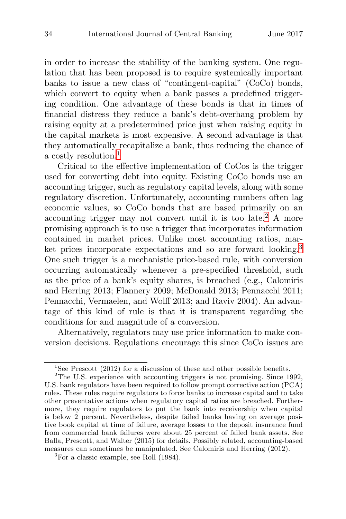in order to increase the stability of the banking system. One regulation that has been proposed is to require systemically important banks to issue a new class of "contingent-capital" (CoCo) bonds, which convert to equity when a bank passes a predefined triggering condition. One advantage of these bonds is that in times of financial distress they reduce a bank's debt-overhang problem by raising equity at a predetermined price just when raising equity in the capital markets is most expensive. A second advantage is that they automatically recapitalize a bank, thus reducing the chance of a costly resolution.<sup>1</sup>

Critical to the effective implementation of CoCos is the trigger used for converting debt into equity. Existing CoCo bonds use an accounting trigger, such as regulatory capital levels, along with some regulatory discretion. Unfortunately, accounting numbers often lag economic values, so CoCo bonds that are based primarily on an accounting trigger may not convert until it is too late.<sup>2</sup> A more promising approach is to use a trigger that incorporates information contained in market prices. Unlike most accounting ratios, market prices incorporate expectations and so are forward looking.<sup>3</sup> One such trigger is a mechanistic price-based rule, with conversion occurring automatically whenever a pre-specified threshold, such as the price of a bank's equity shares, is breached (e.g., Calomiris and Herring 2013; Flannery 2009; McDonald 2013; Pennacchi 2011; Pennacchi, Vermaelen, and Wolff 2013; and Raviv 2004). An advantage of this kind of rule is that it is transparent regarding the conditions for and magnitude of a conversion.

Alternatively, regulators may use price information to make conversion decisions. Regulations encourage this since CoCo issues are

<sup>&</sup>lt;sup>1</sup>See Prescott (2012) for a discussion of these and other possible benefits.

<sup>&</sup>lt;sup>2</sup>The U.S. experience with accounting triggers is not promising. Since 1992, U.S. bank regulators have been required to follow prompt corrective action (PCA) rules. These rules require regulators to force banks to increase capital and to take other preventative actions when regulatory capital ratios are breached. Furthermore, they require regulators to put the bank into receivership when capital is below 2 percent. Nevertheless, despite failed banks having on average positive book capital at time of failure, average losses to the deposit insurance fund from commercial bank failures were about 25 percent of failed bank assets. See Balla, Prescott, and Walter (2015) for details. Possibly related, accounting-based measures can sometimes be manipulated. See Calomiris and Herring (2012). <sup>3</sup>For a classic example, see Roll (1984).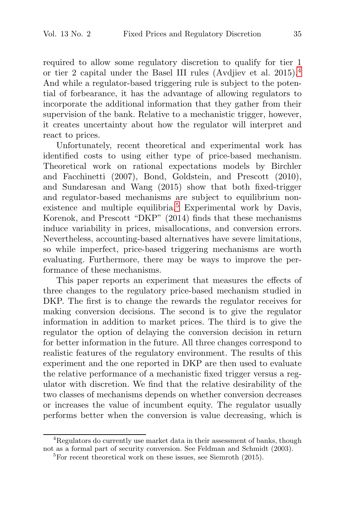required to allow some regulatory discretion to qualify for tier 1 or tier 2 capital under the Basel III rules (Avdjiev et al. 2015).<sup>4</sup> And while a regulator-based triggering rule is subject to the potential of forbearance, it has the advantage of allowing regulators to incorporate the additional information that they gather from their supervision of the bank. Relative to a mechanistic trigger, however, it creates uncertainty about how the regulator will interpret and react to prices.

Unfortunately, recent theoretical and experimental work has identified costs to using either type of price-based mechanism. Theoretical work on rational expectations models by Birchler and Facchinetti (2007), Bond, Goldstein, and Prescott (2010), and Sundaresan and Wang (2015) show that both fixed-trigger and regulator-based mechanisms are subject to equilibrium nonexistence and multiple equilibria.<sup>5</sup> Experimental work by Davis, Korenok, and Prescott "DKP" (2014) finds that these mechanisms induce variability in prices, misallocations, and conversion errors. Nevertheless, accounting-based alternatives have severe limitations, so while imperfect, price-based triggering mechanisms are worth evaluating. Furthermore, there may be ways to improve the performance of these mechanisms.

This paper reports an experiment that measures the effects of three changes to the regulatory price-based mechanism studied in DKP. The first is to change the rewards the regulator receives for making conversion decisions. The second is to give the regulator information in addition to market prices. The third is to give the regulator the option of delaying the conversion decision in return for better information in the future. All three changes correspond to realistic features of the regulatory environment. The results of this experiment and the one reported in DKP are then used to evaluate the relative performance of a mechanistic fixed trigger versus a regulator with discretion. We find that the relative desirability of the two classes of mechanisms depends on whether conversion decreases or increases the value of incumbent equity. The regulator usually performs better when the conversion is value decreasing, which is

<sup>&</sup>lt;sup>4</sup>Regulators do currently use market data in their assessment of banks, though not as a formal part of security conversion. See Feldman and Schmidt (2003).<br><sup>5</sup>For recent theoretical work on these issues, see Siemroth (2015).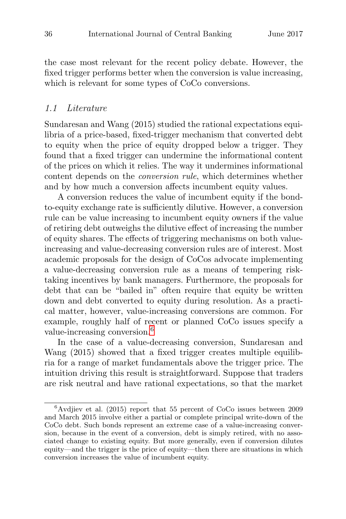the case most relevant for the recent policy debate. However, the fixed trigger performs better when the conversion is value increasing, which is relevant for some types of CoCo conversions.

#### 1.1 Literature

Sundaresan and Wang (2015) studied the rational expectations equilibria of a price-based, fixed-trigger mechanism that converted debt to equity when the price of equity dropped below a trigger. They found that a fixed trigger can undermine the informational content of the prices on which it relies. The way it undermines informational content depends on the conversion rule, which determines whether and by how much a conversion affects incumbent equity values.

A conversion reduces the value of incumbent equity if the bondto-equity exchange rate is sufficiently dilutive. However, a conversion rule can be value increasing to incumbent equity owners if the value of retiring debt outweighs the dilutive effect of increasing the number of equity shares. The effects of triggering mechanisms on both valueincreasing and value-decreasing conversion rules are of interest. Most academic proposals for the design of CoCos advocate implementing a value-decreasing conversion rule as a means of tempering risktaking incentives by bank managers. Furthermore, the proposals for debt that can be "bailed in" often require that equity be written down and debt converted to equity during resolution. As a practical matter, however, value-increasing conversions are common. For example, roughly half of recent or planned CoCo issues specify a value-increasing conversion.<sup>6</sup>

In the case of a value-decreasing conversion, Sundaresan and Wang (2015) showed that a fixed trigger creates multiple equilibria for a range of market fundamentals above the trigger price. The intuition driving this result is straightforward. Suppose that traders are risk neutral and have rational expectations, so that the market

 ${}^{6}$ Avdjiev et al. (2015) report that 55 percent of CoCo issues between 2009 and March 2015 involve either a partial or complete principal write-down of the CoCo debt. Such bonds represent an extreme case of a value-increasing conversion, because in the event of a conversion, debt is simply retired, with no associated change to existing equity. But more generally, even if conversion dilutes equity—and the trigger is the price of equity—then there are situations in which conversion increases the value of incumbent equity.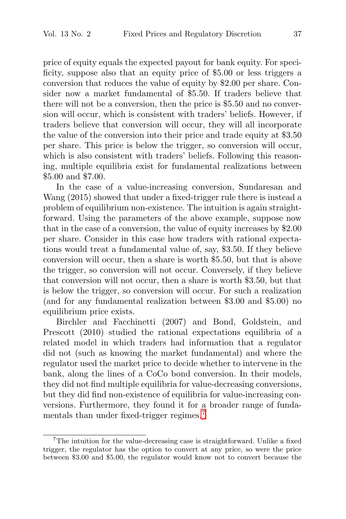price of equity equals the expected payout for bank equity. For specificity, suppose also that an equity price of \$5.00 or less triggers a conversion that reduces the value of equity by \$2.00 per share. Consider now a market fundamental of \$5.50. If traders believe that there will not be a conversion, then the price is \$5.50 and no conversion will occur, which is consistent with traders' beliefs. However, if traders believe that conversion will occur, they will all incorporate the value of the conversion into their price and trade equity at \$3.50 per share. This price is below the trigger, so conversion will occur, which is also consistent with traders' beliefs. Following this reasoning, multiple equilibria exist for fundamental realizations between \$5.00 and \$7.00.

In the case of a value-increasing conversion, Sundaresan and Wang (2015) showed that under a fixed-trigger rule there is instead a problem of equilibrium non-existence. The intuition is again straightforward. Using the parameters of the above example, suppose now that in the case of a conversion, the value of equity increases by \$2.00 per share. Consider in this case how traders with rational expectations would treat a fundamental value of, say, \$3.50. If they believe conversion will occur, then a share is worth \$5.50, but that is above the trigger, so conversion will not occur. Conversely, if they believe that conversion will not occur, then a share is worth \$3.50, but that is below the trigger, so conversion will occur. For such a realization (and for any fundamental realization between \$3.00 and \$5.00) no equilibrium price exists.

Birchler and Facchinetti (2007) and Bond, Goldstein, and Prescott (2010) studied the rational expectations equilibria of a related model in which traders had information that a regulator did not (such as knowing the market fundamental) and where the regulator used the market price to decide whether to intervene in the bank, along the lines of a CoCo bond conversion. In their models, they did not find multiple equilibria for value-decreasing conversions, but they did find non-existence of equilibria for value-increasing conversions. Furthermore, they found it for a broader range of fundamentals than under fixed-trigger regimes.<sup>7</sup>

<sup>&</sup>lt;sup>7</sup>The intuition for the value-decreasing case is straightforward. Unlike a fixed trigger, the regulator has the option to convert at any price, so were the price between \$3.00 and \$5.00, the regulator would know not to convert because the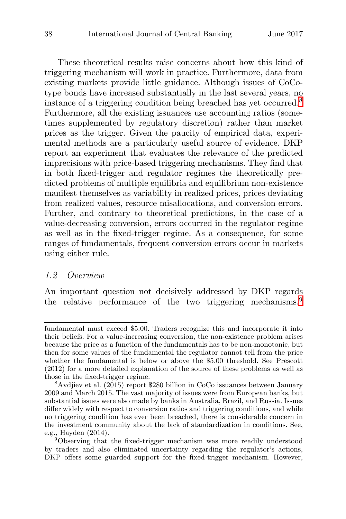These theoretical results raise concerns about how this kind of triggering mechanism will work in practice. Furthermore, data from existing markets provide little guidance. Although issues of CoCotype bonds have increased substantially in the last several years, no instance of a triggering condition being breached has yet occurred.<sup>8</sup> Furthermore, all the existing issuances use accounting ratios (sometimes supplemented by regulatory discretion) rather than market prices as the trigger. Given the paucity of empirical data, experimental methods are a particularly useful source of evidence. DKP report an experiment that evaluates the relevance of the predicted imprecisions with price-based triggering mechanisms. They find that in both fixed-trigger and regulator regimes the theoretically predicted problems of multiple equilibria and equilibrium non-existence manifest themselves as variability in realized prices, prices deviating from realized values, resource misallocations, and conversion errors. Further, and contrary to theoretical predictions, in the case of a value-decreasing conversion, errors occurred in the regulator regime as well as in the fixed-trigger regime. As a consequence, for some ranges of fundamentals, frequent conversion errors occur in markets using either rule.

## 1.2 Overview

An important question not decisively addressed by DKP regards the relative performance of the two triggering mechanisms.<sup>9</sup>

fundamental must exceed \$5.00. Traders recognize this and incorporate it into their beliefs. For a value-increasing conversion, the non-existence problem arises because the price as a function of the fundamentals has to be non-monotonic, but then for some values of the fundamental the regulator cannot tell from the price whether the fundamental is below or above the \$5.00 threshold. See Prescott (2012) for a more detailed explanation of the source of these problems as well as those in the fixed-trigger regime.<br><sup>8</sup>Avdjiev et al. (2015) report \$280 billion in CoCo issuances between January

<sup>2009</sup> and March 2015. The vast majority of issues were from European banks, but substantial issues were also made by banks in Australia, Brazil, and Russia. Issues differ widely with respect to conversion ratios and triggering conditions, and while no triggering condition has ever been breached, there is considerable concern in the investment community about the lack of standardization in conditions. See, e.g., Hayden (2014).<br><sup>9</sup>Observing that the fixed-trigger mechanism was more readily understood

by traders and also eliminated uncertainty regarding the regulator's actions, DKP offers some guarded support for the fixed-trigger mechanism. However,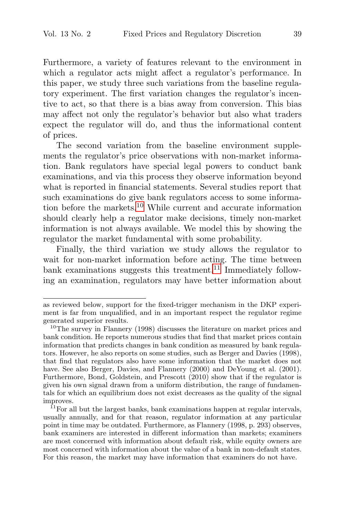Furthermore, a variety of features relevant to the environment in which a regulator acts might affect a regulator's performance. In this paper, we study three such variations from the baseline regulatory experiment. The first variation changes the regulator's incentive to act, so that there is a bias away from conversion. This bias may affect not only the regulator's behavior but also what traders expect the regulator will do, and thus the informational content of prices.

The second variation from the baseline environment supplements the regulator's price observations with non-market information. Bank regulators have special legal powers to conduct bank examinations, and via this process they observe information beyond what is reported in financial statements. Several studies report that such examinations do give bank regulators access to some information before the markets.<sup>10</sup> While current and accurate information should clearly help a regulator make decisions, timely non-market information is not always available. We model this by showing the regulator the market fundamental with some probability.

Finally, the third variation we study allows the regulator to wait for non-market information before acting. The time between bank examinations suggests this treatment.<sup>11</sup> Immediately following an examination, regulators may have better information about

as reviewed below, support for the fixed-trigger mechanism in the DKP experiment is far from unqualified, and in an important respect the regulator regime generated superior results.<br> $10$ The survey in Flannery (1998) discusses the literature on market prices and

bank condition. He reports numerous studies that find that market prices contain information that predicts changes in bank condition as measured by bank regulators. However, he also reports on some studies, such as Berger and Davies (1998), that find that regulators also have some information that the market does not have. See also Berger, Davies, and Flannery (2000) and DeYoung et al. (2001). Furthermore, Bond, Goldstein, and Prescott (2010) show that if the regulator is given his own signal drawn from a uniform distribution, the range of fundamentals for which an equilibrium does not exist decreases as the quality of the signal improves.  $11F$ For all but the largest banks, bank examinations happen at regular intervals,

usually annually, and for that reason, regulator information at any particular point in time may be outdated. Furthermore, as Flannery (1998, p. 293) observes, bank examiners are interested in different information than markets; examiners are most concerned with information about default risk, while equity owners are most concerned with information about the value of a bank in non-default states. For this reason, the market may have information that examiners do not have.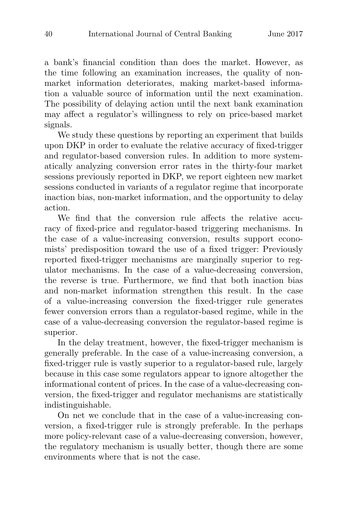a bank's financial condition than does the market. However, as the time following an examination increases, the quality of nonmarket information deteriorates, making market-based information a valuable source of information until the next examination. The possibility of delaying action until the next bank examination may affect a regulator's willingness to rely on price-based market signals.

We study these questions by reporting an experiment that builds upon DKP in order to evaluate the relative accuracy of fixed-trigger and regulator-based conversion rules. In addition to more systematically analyzing conversion error rates in the thirty-four market sessions previously reported in DKP, we report eighteen new market sessions conducted in variants of a regulator regime that incorporate inaction bias, non-market information, and the opportunity to delay action.

We find that the conversion rule affects the relative accuracy of fixed-price and regulator-based triggering mechanisms. In the case of a value-increasing conversion, results support economists' predisposition toward the use of a fixed trigger: Previously reported fixed-trigger mechanisms are marginally superior to regulator mechanisms. In the case of a value-decreasing conversion, the reverse is true. Furthermore, we find that both inaction bias and non-market information strengthen this result. In the case of a value-increasing conversion the fixed-trigger rule generates fewer conversion errors than a regulator-based regime, while in the case of a value-decreasing conversion the regulator-based regime is superior.

In the delay treatment, however, the fixed-trigger mechanism is generally preferable. In the case of a value-increasing conversion, a fixed-trigger rule is vastly superior to a regulator-based rule, largely because in this case some regulators appear to ignore altogether the informational content of prices. In the case of a value-decreasing conversion, the fixed-trigger and regulator mechanisms are statistically indistinguishable.

On net we conclude that in the case of a value-increasing conversion, a fixed-trigger rule is strongly preferable. In the perhaps more policy-relevant case of a value-decreasing conversion, however, the regulatory mechanism is usually better, though there are some environments where that is not the case.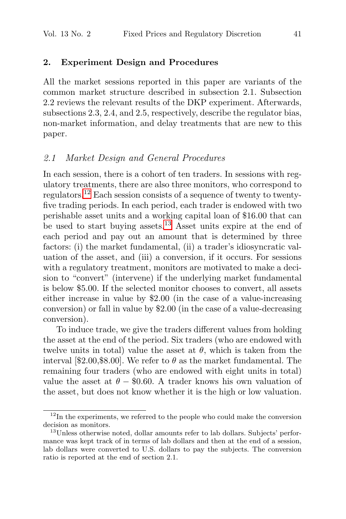# **2. Experiment Design and Procedures**

All the market sessions reported in this paper are variants of the common market structure described in subsection 2.1. Subsection 2.2 reviews the relevant results of the DKP experiment. Afterwards, subsections 2.3, 2.4, and 2.5, respectively, describe the regulator bias, non-market information, and delay treatments that are new to this paper.

#### 2.1 Market Design and General Procedures

In each session, there is a cohort of ten traders. In sessions with regulatory treatments, there are also three monitors, who correspond to regulators.<sup>12</sup> Each session consists of a sequence of twenty to twentyfive trading periods. In each period, each trader is endowed with two perishable asset units and a working capital loan of \$16.00 that can be used to start buying assets.<sup>13</sup> Asset units expire at the end of each period and pay out an amount that is determined by three factors: (i) the market fundamental, (ii) a trader's idiosyncratic valuation of the asset, and (iii) a conversion, if it occurs. For sessions with a regulatory treatment, monitors are motivated to make a decision to "convert" (intervene) if the underlying market fundamental is below \$5.00. If the selected monitor chooses to convert, all assets either increase in value by \$2.00 (in the case of a value-increasing conversion) or fall in value by \$2.00 (in the case of a value-decreasing conversion).

To induce trade, we give the traders different values from holding the asset at the end of the period. Six traders (who are endowed with twelve units in total) value the asset at  $\theta$ , which is taken from the interval [\$2.00, \$8.00]. We refer to  $\theta$  as the market fundamental. The remaining four traders (who are endowed with eight units in total) value the asset at  $\theta$  – \$0.60. A trader knows his own valuation of the asset, but does not know whether it is the high or low valuation.

 $12<sup>12</sup>$ In the experiments, we referred to the people who could make the conversion decision as monitors.<br><sup>13</sup>Unless otherwise noted, dollar amounts refer to lab dollars. Subjects' perfor-

mance was kept track of in terms of lab dollars and then at the end of a session, lab dollars were converted to U.S. dollars to pay the subjects. The conversion ratio is reported at the end of section 2.1.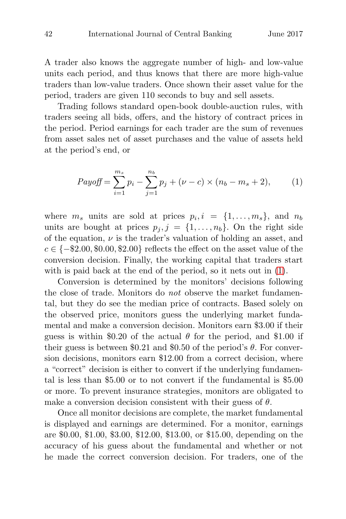A trader also knows the aggregate number of high- and low-value units each period, and thus knows that there are more high-value traders than low-value traders. Once shown their asset value for the period, traders are given 110 seconds to buy and sell assets.

Trading follows standard open-book double-auction rules, with traders seeing all bids, offers, and the history of contract prices in the period. Period earnings for each trader are the sum of revenues from asset sales net of asset purchases and the value of assets held at the period's end, or

$$
Payoff = \sum_{i=1}^{m_s} p_i - \sum_{j=1}^{n_b} p_j + (\nu - c) \times (n_b - m_s + 2), \tag{1}
$$

where  $m_s$  units are sold at prices  $p_i, i = \{1, \ldots, m_s\}$ , and  $n_b$ units are bought at prices  $p_j$ ,  $j = \{1, \ldots, n_b\}$ . On the right side of the equation,  $\nu$  is the trader's valuation of holding an asset, and  $c \in \{-\$2.00,\$0.00,\$2.00\}$  reflects the effect on the asset value of the conversion decision. Finally, the working capital that traders start with is paid back at the end of the period, so it nets out in (1).

Conversion is determined by the monitors' decisions following the close of trade. Monitors do not observe the market fundamental, but they do see the median price of contracts. Based solely on the observed price, monitors guess the underlying market fundamental and make a conversion decision. Monitors earn \$3.00 if their guess is within \$0.20 of the actual  $\theta$  for the period, and \$1.00 if their guess is between \$0.21 and \$0.50 of the period's  $\theta$ . For conversion decisions, monitors earn \$12.00 from a correct decision, where a "correct" decision is either to convert if the underlying fundamental is less than \$5.00 or to not convert if the fundamental is \$5.00 or more. To prevent insurance strategies, monitors are obligated to make a conversion decision consistent with their guess of  $\theta$ .

Once all monitor decisions are complete, the market fundamental is displayed and earnings are determined. For a monitor, earnings are \$0.00, \$1.00, \$3.00, \$12.00, \$13.00, or \$15.00, depending on the accuracy of his guess about the fundamental and whether or not he made the correct conversion decision. For traders, one of the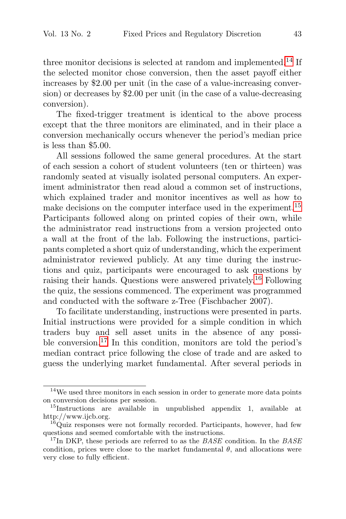three monitor decisions is selected at random and implemented.<sup>14</sup> If the selected monitor chose conversion, then the asset payoff either increases by \$2.00 per unit (in the case of a value-increasing conversion) or decreases by \$2.00 per unit (in the case of a value-decreasing conversion).

The fixed-trigger treatment is identical to the above process except that the three monitors are eliminated, and in their place a conversion mechanically occurs whenever the period's median price is less than \$5.00.

All sessions followed the same general procedures. At the start of each session a cohort of student volunteers (ten or thirteen) was randomly seated at visually isolated personal computers. An experiment administrator then read aloud a common set of instructions, which explained trader and monitor incentives as well as how to make decisions on the computer interface used in the experiment.<sup>15</sup> Participants followed along on printed copies of their own, while the administrator read instructions from a version projected onto a wall at the front of the lab. Following the instructions, participants completed a short quiz of understanding, which the experiment administrator reviewed publicly. At any time during the instructions and quiz, participants were encouraged to ask questions by raising their hands. Questions were answered privately.<sup>16</sup> Following the quiz, the sessions commenced. The experiment was programmed and conducted with the software z-Tree (Fischbacher 2007).

To facilitate understanding, instructions were presented in parts. Initial instructions were provided for a simple condition in which traders buy and sell asset units in the absence of any possible conversion.<sup>17</sup> In this condition, monitors are told the period's median contract price following the close of trade and are asked to guess the underlying market fundamental. After several periods in

 $14$ We used three monitors in each session in order to generate more data points on conversion decisions per session.

 $15$ Instructions are available in unpublished appendix 1, available at

http://www.ijcb.org.<br><sup>16</sup>Quiz responses were not formally recorded. Participants, however, had few questions and seemed comfortable with the instructions.

<sup>&</sup>lt;sup>17</sup>In DKP, these periods are referred to as the  $BASE$  condition. In the  $BASE$ condition, prices were close to the market fundamental  $\theta$ , and allocations were very close to fully efficient.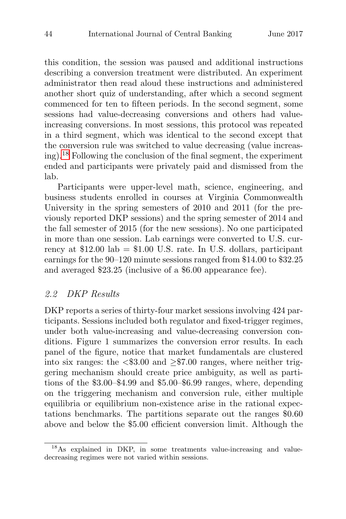this condition, the session was paused and additional instructions describing a conversion treatment were distributed. An experiment administrator then read aloud these instructions and administered another short quiz of understanding, after which a second segment commenced for ten to fifteen periods. In the second segment, some sessions had value-decreasing conversions and others had valueincreasing conversions. In most sessions, this protocol was repeated in a third segment, which was identical to the second except that the conversion rule was switched to value decreasing (value increasing).<sup>18</sup> Following the conclusion of the final segment, the experiment ended and participants were privately paid and dismissed from the lab.

Participants were upper-level math, science, engineering, and business students enrolled in courses at Virginia Commonwealth University in the spring semesters of 2010 and 2011 (for the previously reported DKP sessions) and the spring semester of 2014 and the fall semester of 2015 (for the new sessions). No one participated in more than one session. Lab earnings were converted to U.S. currency at  $$12.00$  lab =  $$1.00$  U.S. rate. In U.S. dollars, participant earnings for the 90–120 minute sessions ranged from \$14.00 to \$32.25 and averaged \$23.25 (inclusive of a \$6.00 appearance fee).

# 2.2 DKP Results

DKP reports a series of thirty-four market sessions involving 424 participants. Sessions included both regulator and fixed-trigger regimes, under both value-increasing and value-decreasing conversion conditions. Figure 1 summarizes the conversion error results. In each panel of the figure, notice that market fundamentals are clustered into six ranges: the  $\langle \$3.00 \rangle$  and  $\geq$  7.00 ranges, where neither triggering mechanism should create price ambiguity, as well as partitions of the \$3.00–\$4.99 and \$5.00–\$6.99 ranges, where, depending on the triggering mechanism and conversion rule, either multiple equilibria or equilibrium non-existence arise in the rational expectations benchmarks. The partitions separate out the ranges \$0.60 above and below the \$5.00 efficient conversion limit. Although the

<sup>&</sup>lt;sup>18</sup>As explained in DKP, in some treatments value-increasing and valuedecreasing regimes were not varied within sessions.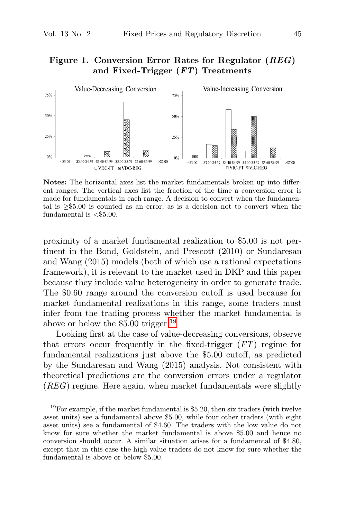## **Figure 1. Conversion Error Rates for Regulator (***REG***) and Fixed-Trigger (***FT***) Treatments**



**Notes:** The horizontal axes list the market fundamentals broken up into different ranges. The vertical axes list the fraction of the time a conversion error is made for fundamentals in each range. A decision to convert when the fundamental is  $\geq$ \$5.00 is counted as an error, as is a decision not to convert when the fundamental is  $<$ \$5.00.

proximity of a market fundamental realization to \$5.00 is not pertinent in the Bond, Goldstein, and Prescott (2010) or Sundaresan and Wang (2015) models (both of which use a rational expectations framework), it is relevant to the market used in DKP and this paper because they include value heterogeneity in order to generate trade. The \$0.60 range around the conversion cutoff is used because for market fundamental realizations in this range, some traders must infer from the trading process whether the market fundamental is above or below the  $$5.00$  trigger.<sup>19</sup>

Looking first at the case of value-decreasing conversions, observe that errors occur frequently in the fixed-trigger  $(FT)$  regime for fundamental realizations just above the \$5.00 cutoff, as predicted by the Sundaresan and Wang (2015) analysis. Not consistent with theoretical predictions are the conversion errors under a regulator  $(REG)$  regime. Here again, when market fundamentals were slightly

<sup>&</sup>lt;sup>19</sup>For example, if the market fundamental is \$5.20, then six traders (with twelve asset units) see a fundamental above \$5.00, while four other traders (with eight asset units) see a fundamental of \$4.60. The traders with the low value do not know for sure whether the market fundamental is above \$5.00 and hence no conversion should occur. A similar situation arises for a fundamental of \$4.80, except that in this case the high-value traders do not know for sure whether the fundamental is above or below \$5.00.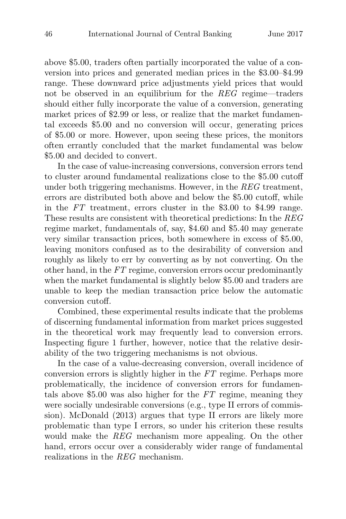above \$5.00, traders often partially incorporated the value of a conversion into prices and generated median prices in the \$3.00–\$4.99 range. These downward price adjustments yield prices that would not be observed in an equilibrium for the REG regime—traders should either fully incorporate the value of a conversion, generating market prices of \$2.99 or less, or realize that the market fundamental exceeds \$5.00 and no conversion will occur, generating prices of \$5.00 or more. However, upon seeing these prices, the monitors often errantly concluded that the market fundamental was below \$5.00 and decided to convert.

In the case of value-increasing conversions, conversion errors tend to cluster around fundamental realizations close to the \$5.00 cutoff under both triggering mechanisms. However, in the REG treatment, errors are distributed both above and below the \$5.00 cutoff, while in the FT treatment, errors cluster in the \$3.00 to \$4.99 range. These results are consistent with theoretical predictions: In the REG regime market, fundamentals of, say, \$4.60 and \$5.40 may generate very similar transaction prices, both somewhere in excess of \$5.00, leaving monitors confused as to the desirability of conversion and roughly as likely to err by converting as by not converting. On the other hand, in the FT regime, conversion errors occur predominantly when the market fundamental is slightly below \$5.00 and traders are unable to keep the median transaction price below the automatic conversion cutoff.

Combined, these experimental results indicate that the problems of discerning fundamental information from market prices suggested in the theoretical work may frequently lead to conversion errors. Inspecting figure 1 further, however, notice that the relative desirability of the two triggering mechanisms is not obvious.

In the case of a value-decreasing conversion, overall incidence of conversion errors is slightly higher in the FT regime. Perhaps more problematically, the incidence of conversion errors for fundamentals above \$5.00 was also higher for the FT regime, meaning they were socially undesirable conversions (e.g., type II errors of commission). McDonald (2013) argues that type II errors are likely more problematic than type I errors, so under his criterion these results would make the REG mechanism more appealing. On the other hand, errors occur over a considerably wider range of fundamental realizations in the REG mechanism.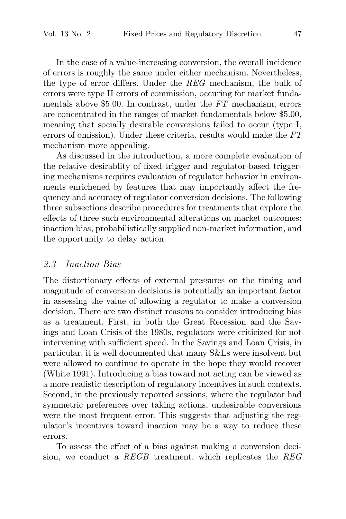In the case of a value-increasing conversion, the overall incidence of errors is roughly the same under either mechanism. Nevertheless, the type of error differs. Under the REG mechanism, the bulk of errors were type II errors of commission, occuring for market fundamentals above \$5.00. In contrast, under the FT mechanism, errors are concentrated in the ranges of market fundamentals below \$5.00, meaning that socially desirable conversions failed to occur (type I, errors of omission). Under these criteria, results would make the FT mechanism more appealing.

As discussed in the introduction, a more complete evaluation of the relative desirablity of fixed-trigger and regulator-based triggering mechanisms requires evaluation of regulator behavior in environments enrichened by features that may importantly affect the frequency and accuracy of regulator conversion decisions. The following three subsections describe procedures for treatments that explore the effects of three such environmental alterations on market outcomes: inaction bias, probabilistically supplied non-market information, and the opportunity to delay action.

#### 2.3 Inaction Bias

The distortionary effects of external pressures on the timing and magnitude of conversion decisions is potentially an important factor in assessing the value of allowing a regulator to make a conversion decision. There are two distinct reasons to consider introducing bias as a treatment. First, in both the Great Recession and the Savings and Loan Crisis of the 1980s, regulators were criticized for not intervening with sufficient speed. In the Savings and Loan Crisis, in particular, it is well documented that many S&Ls were insolvent but were allowed to continue to operate in the hope they would recover (White 1991). Introducing a bias toward not acting can be viewed as a more realistic description of regulatory incentives in such contexts. Second, in the previously reported sessions, where the regulator had symmetric preferences over taking actions, undesirable conversions were the most frequent error. This suggests that adjusting the regulator's incentives toward inaction may be a way to reduce these errors.

To assess the effect of a bias against making a conversion decision, we conduct a REGB treatment, which replicates the REG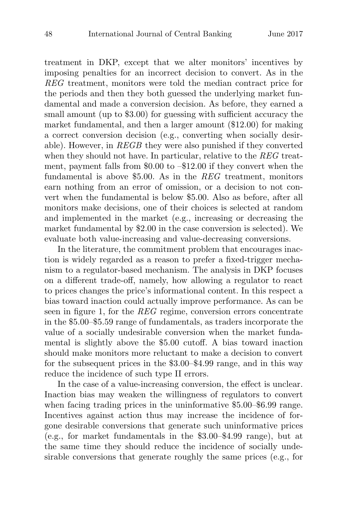treatment in DKP, except that we alter monitors' incentives by imposing penalties for an incorrect decision to convert. As in the REG treatment, monitors were told the median contract price for the periods and then they both guessed the underlying market fundamental and made a conversion decision. As before, they earned a small amount (up to \$3.00) for guessing with sufficient accuracy the market fundamental, and then a larger amount (\$12.00) for making a correct conversion decision (e.g., converting when socially desirable). However, in REGB they were also punished if they converted when they should not have. In particular, relative to the REG treatment, payment falls from \$0.00 to –\$12.00 if they convert when the fundamental is above \$5.00. As in the REG treatment, monitors earn nothing from an error of omission, or a decision to not convert when the fundamental is below \$5.00. Also as before, after all monitors make decisions, one of their choices is selected at random and implemented in the market (e.g., increasing or decreasing the market fundamental by \$2.00 in the case conversion is selected). We evaluate both value-increasing and value-decreasing conversions.

In the literature, the commitment problem that encourages inaction is widely regarded as a reason to prefer a fixed-trigger mechanism to a regulator-based mechanism. The analysis in DKP focuses on a different trade-off, namely, how allowing a regulator to react to prices changes the price's informational content. In this respect a bias toward inaction could actually improve performance. As can be seen in figure 1, for the REG regime, conversion errors concentrate in the \$5.00–\$5.59 range of fundamentals, as traders incorporate the value of a socially undesirable conversion when the market fundamental is slightly above the \$5.00 cutoff. A bias toward inaction should make monitors more reluctant to make a decision to convert for the subsequent prices in the \$3.00–\$4.99 range, and in this way reduce the incidence of such type II errors.

In the case of a value-increasing conversion, the effect is unclear. Inaction bias may weaken the willingness of regulators to convert when facing trading prices in the uninformative \$5.00–\$6.99 range. Incentives against action thus may increase the incidence of forgone desirable conversions that generate such uninformative prices (e.g., for market fundamentals in the \$3.00–\$4.99 range), but at the same time they should reduce the incidence of socially undesirable conversions that generate roughly the same prices (e.g., for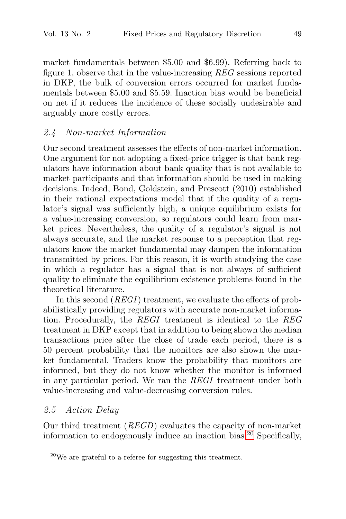market fundamentals between \$5.00 and \$6.99). Referring back to figure 1, observe that in the value-increasing REG sessions reported in DKP, the bulk of conversion errors occurred for market fundamentals between \$5.00 and \$5.59. Inaction bias would be beneficial on net if it reduces the incidence of these socially undesirable and arguably more costly errors.

# 2.4 Non-market Information

Our second treatment assesses the effects of non-market information. One argument for not adopting a fixed-price trigger is that bank regulators have information about bank quality that is not available to market participants and that information should be used in making decisions. Indeed, Bond, Goldstein, and Prescott (2010) established in their rational expectations model that if the quality of a regulator's signal was sufficiently high, a unique equilibrium exists for a value-increasing conversion, so regulators could learn from market prices. Nevertheless, the quality of a regulator's signal is not always accurate, and the market response to a perception that regulators know the market fundamental may dampen the information transmitted by prices. For this reason, it is worth studying the case in which a regulator has a signal that is not always of sufficient quality to eliminate the equilibrium existence problems found in the theoretical literature.

In this second (*REGI*) treatment, we evaluate the effects of probabilistically providing regulators with accurate non-market information. Procedurally, the REGI treatment is identical to the REG treatment in DKP except that in addition to being shown the median transactions price after the close of trade each period, there is a 50 percent probability that the monitors are also shown the market fundamental. Traders know the probability that monitors are informed, but they do not know whether the monitor is informed in any particular period. We ran the REGI treatment under both value-increasing and value-decreasing conversion rules.

# 2.5 Action Delay

Our third treatment (REGD) evaluates the capacity of non-market information to endogenously induce an inaction bias.<sup>20</sup> Specifically,

 $^{20}$ We are grateful to a referee for suggesting this treatment.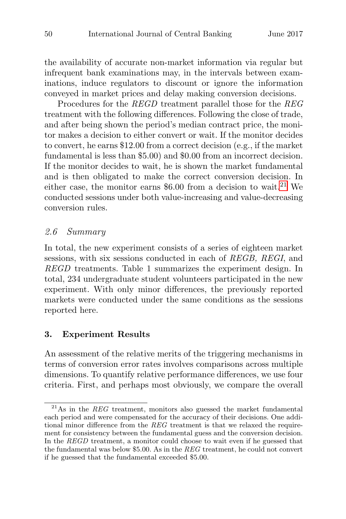the availability of accurate non-market information via regular but infrequent bank examinations may, in the intervals between examinations, induce regulators to discount or ignore the information conveyed in market prices and delay making conversion decisions.

Procedures for the REGD treatment parallel those for the REG treatment with the following differences. Following the close of trade, and after being shown the period's median contract price, the monitor makes a decision to either convert or wait. If the monitor decides to convert, he earns \$12.00 from a correct decision (e.g., if the market fundamental is less than \$5.00) and \$0.00 from an incorrect decision. If the monitor decides to wait, he is shown the market fundamental and is then obligated to make the correct conversion decision. In either case, the monitor earns  $$6.00$  from a decision to wait.<sup>21</sup> We conducted sessions under both value-increasing and value-decreasing conversion rules.

## 2.6 Summary

In total, the new experiment consists of a series of eighteen market sessions, with six sessions conducted in each of REGB, REGI, and REGD treatments. Table 1 summarizes the experiment design. In total, 234 undergraduate student volunteers participated in the new experiment. With only minor differences, the previously reported markets were conducted under the same conditions as the sessions reported here.

#### **3. Experiment Results**

An assessment of the relative merits of the triggering mechanisms in terms of conversion error rates involves comparisons across multiple dimensions. To quantify relative performance differences, we use four criteria. First, and perhaps most obviously, we compare the overall

 $^{21}$ As in the REG treatment, monitors also guessed the market fundamental each period and were compensated for the accuracy of their decisions. One additional minor difference from the REG treatment is that we relaxed the requirement for consistency between the fundamental guess and the conversion decision. In the REGD treatment, a monitor could choose to wait even if he guessed that the fundamental was below \$5.00. As in the REG treatment, he could not convert if he guessed that the fundamental exceeded \$5.00.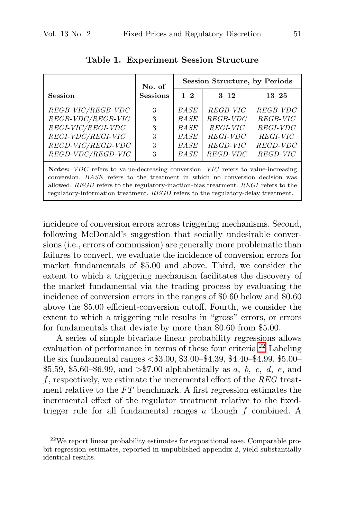|                                                                                                                                                | No. of                     |                                                                                 | <b>Session Structure, by Periods</b>                                 |                                                                      |
|------------------------------------------------------------------------------------------------------------------------------------------------|----------------------------|---------------------------------------------------------------------------------|----------------------------------------------------------------------|----------------------------------------------------------------------|
| <b>Session</b>                                                                                                                                 | <b>Sessions</b>            | $1 - 2$                                                                         | $3 - 12$                                                             | $13 - 25$                                                            |
| REGB-VIC/REGB-VDC<br>$REGB-VDC/REGB-VIC$<br>REGI-VIC/REGI-VDC<br>$REGI\text{-}VDC/REGI\text{-}VIC$<br>$REGD-VIC/REGD-VDC$<br>REGD-VDC/REGD-VIC | 3<br>3<br>3<br>3<br>3<br>3 | <i>BASE</i><br><b>BASE</b><br>BASE<br><b>BASE</b><br><b>BASE</b><br><b>BASE</b> | REGB-VIC<br>REGB-VDC<br>REGI-VIC<br>REGI-VDC<br>REGD-VIC<br>REGD-VDC | REGB-VDC<br>REGB-VIC<br>REGI-VDC<br>REGI-VIC<br>REGD-VDC<br>REGD-VIC |

**Table 1. Experiment Session Structure**

**Notes:** VDC refers to value-decreasing conversion. VIC refers to value-increasing conversion. BASE refers to the treatment in which no conversion decision was allowed. REGB refers to the regulatory-inaction-bias treatment. REGI refers to the regulatory-information treatment. REGD refers to the regulatory-delay treatment.

incidence of conversion errors across triggering mechanisms. Second, following McDonald's suggestion that socially undesirable conversions (i.e., errors of commission) are generally more problematic than failures to convert, we evaluate the incidence of conversion errors for market fundamentals of \$5.00 and above. Third, we consider the extent to which a triggering mechanism facilitates the discovery of the market fundamental via the trading process by evaluating the incidence of conversion errors in the ranges of \$0.60 below and \$0.60 above the \$5.00 efficient-conversion cutoff. Fourth, we consider the extent to which a triggering rule results in "gross" errors, or errors for fundamentals that deviate by more than \$0.60 from \$5.00.

A series of simple bivariate linear probability regressions allows evaluation of performance in terms of these four criteria.<sup>22</sup> Labeling the six fundamental ranges <\$3.00, \$3.00–\$4.39, \$4.40–\$4.99, \$5.00– \$5.59, \$5.60–\$6.99, and  $\frac{1}{5}$  > \$7.00 alphabetically as a, b, c, d, e, and f, respectively, we estimate the incremental effect of the  $REG$  treatment relative to the FT benchmark. A first regression estimates the incremental effect of the regulator treatment relative to the fixedtrigger rule for all fundamental ranges  $a$  though  $f$  combined. A

<sup>22</sup>We report linear probability estimates for expositional ease. Comparable probit regression estimates, reported in unpublished appendix 2, yield substantially identical results.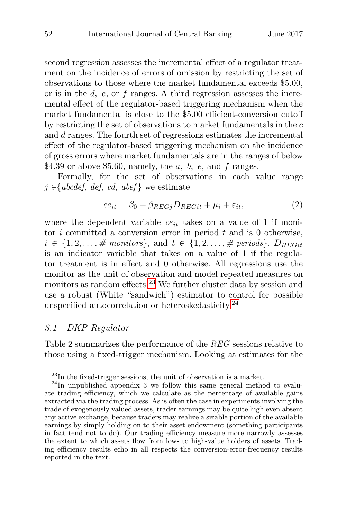second regression assesses the incremental effect of a regulator treatment on the incidence of errors of omission by restricting the set of observations to those where the market fundamental exceeds \$5.00, or is in the  $d$ ,  $e$ , or  $f$  ranges. A third regression assesses the incremental effect of the regulator-based triggering mechanism when the market fundamental is close to the \$5.00 efficient-conversion cutoff by restricting the set of observations to market fundamentals in the c and d ranges. The fourth set of regressions estimates the incremental effect of the regulator-based triggering mechanism on the incidence of gross errors where market fundamentals are in the ranges of below \$4.39 or above \$5.60, namely, the  $a, b, e$ , and  $f$  ranges.

Formally, for the set of observations in each value range  $j \in \{abcdef, def, cd, abef\}$  we estimate

$$
ce_{it} = \beta_0 + \beta_{REGj} D_{REGit} + \mu_i + \varepsilon_{it}, \tag{2}
$$

where the dependent variable  $ce_{it}$  takes on a value of 1 if monitor  $i$  committed a conversion error in period  $t$  and is 0 otherwise,  $i \in \{1, 2, \ldots, \# \text{ monitors}\},$  and  $t \in \{1, 2, \ldots, \# \text{ periods}\}.$   $D_{REGit}$ is an indicator variable that takes on a value of 1 if the regulator treatment is in effect and 0 otherwise. All regressions use the monitor as the unit of observation and model repeated measures on monitors as random effects.<sup>23</sup> We further cluster data by session and use a robust (White "sandwich") estimator to control for possible unspecified autocorrelation or heteroskedasticity.<sup>24</sup>

#### 3.1 DKP Regulator

Table 2 summarizes the performance of the REG sessions relative to those using a fixed-trigger mechanism. Looking at estimates for the

<sup>&</sup>lt;sup>23</sup>In the fixed-trigger sessions, the unit of observation is a market.<br><sup>24</sup>In unpublished appendix 3 we follow this same general method to evalu-

ate trading efficiency, which we calculate as the percentage of available gains extracted via the trading process. As is often the case in experiments involving the trade of exogenously valued assets, trader earnings may be quite high even absent any active exchange, because traders may realize a sizable portion of the available earnings by simply holding on to their asset endowment (something participants in fact tend not to do). Our trading efficiency measure more narrowly assesses the extent to which assets flow from low- to high-value holders of assets. Trading efficiency results echo in all respects the conversion-error-frequency results reported in the text.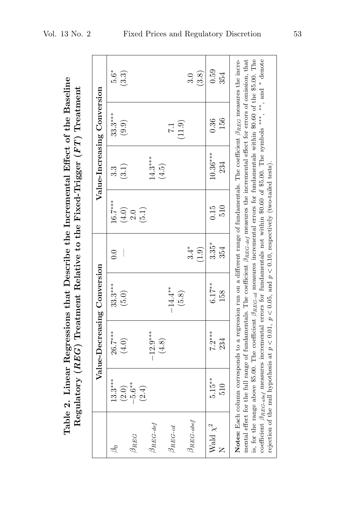|                          |                            | Table 2. Linear Regressions that Describe the Incremental Effect of the Baseline<br>Regulatory ( $REG$ ) Treatment Relative to the Fixed-Trigger ( $FT$ ) Treatment                                                                                                                                                                                                                                                                                                                                                                                                                                                                                                                                                            |                    |                 |                    |                   |                             |                 |
|--------------------------|----------------------------|--------------------------------------------------------------------------------------------------------------------------------------------------------------------------------------------------------------------------------------------------------------------------------------------------------------------------------------------------------------------------------------------------------------------------------------------------------------------------------------------------------------------------------------------------------------------------------------------------------------------------------------------------------------------------------------------------------------------------------|--------------------|-----------------|--------------------|-------------------|-----------------------------|-----------------|
|                          |                            | Value-Decreasing Conversion                                                                                                                                                                                                                                                                                                                                                                                                                                                                                                                                                                                                                                                                                                    |                    |                 |                    |                   | Value-Increasing Conversion |                 |
| L                        | $13.3***$                  | 26.7***<br>(4.0)                                                                                                                                                                                                                                                                                                                                                                                                                                                                                                                                                                                                                                                                                                               | $33.3***$<br>(5.0) | 0.0             | $16.7***$<br>(4.0) | (3.1)<br>3.3      | $33.3***$<br>(9.9)          | $5.6*$<br>(3.3) |
| $\beta_{REG}$            | $(2.0)$<br>$-5.6^{**}$     |                                                                                                                                                                                                                                                                                                                                                                                                                                                                                                                                                                                                                                                                                                                                |                    |                 | 2.0                |                   |                             |                 |
| $\beta_{REG\text{-}def}$ | (2.4)                      | $-12.9***$                                                                                                                                                                                                                                                                                                                                                                                                                                                                                                                                                                                                                                                                                                                     |                    |                 | (5.1)              | $14.3***$         |                             |                 |
| $\beta_{REG-cd}$         |                            | $(4.8)$                                                                                                                                                                                                                                                                                                                                                                                                                                                                                                                                                                                                                                                                                                                        | $-14.4**$          |                 |                    | (4.5)             | $\overline{11}$             |                 |
| $\beta_{REG-abel}$       |                            |                                                                                                                                                                                                                                                                                                                                                                                                                                                                                                                                                                                                                                                                                                                                | (5.8)              | $3.4*$<br>(1.9) |                    |                   | (11.9)                      | (3.8)<br>3.0    |
| Wald $\chi^2$            | $5.15**$<br>$\frac{6}{10}$ | $7.2***$<br>234                                                                                                                                                                                                                                                                                                                                                                                                                                                                                                                                                                                                                                                                                                                | $6.17***$<br>158   | $3.35*$<br>354  | 510<br>0.15        | $10.36***$<br>234 | 156<br>0.36                 | 0.59<br>354     |
|                          |                            | is, for the range above \$5.00. The coefficient $\beta_{REG\text{-}cd}$ measures incremental errors for fundamentals within \$0.60 of the \$5.00. The<br>coefficient $\beta_{RBC-abef}$ measures incremental errors for fundamentals not within \$0.60 of \$5.00. The symbols ***, **, and * denote<br>Notes: Each column corresponds to a regression run on a different range of fundamentals. The coefficient $\beta_{RG}$ measures the incre-<br>mental effect for the full range of fundamentals. The coefficient $\beta_{RBC\text{-}def}$ measures the incremental effect for errors of omission, that<br>rejection of the null hypothesis at $p < 0.01$ , $p < 0.05$ , and $p < 0.10$ , respectively (two-tailed tests). |                    |                 |                    |                   |                             |                 |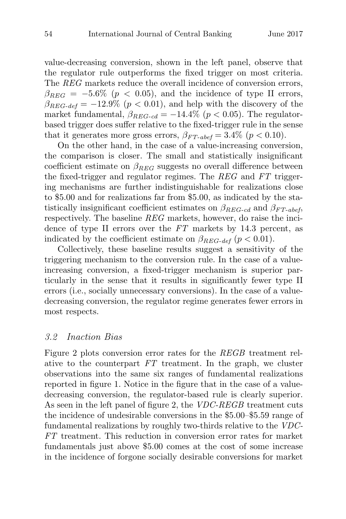value-decreasing conversion, shown in the left panel, observe that the regulator rule outperforms the fixed trigger on most criteria. The REG markets reduce the overall incidence of conversion errors,  $\beta_{REG} = -5.6\%$  ( $p < 0.05$ ), and the incidence of type II errors,  $\beta_{REG-def} = -12.9\%$  ( $p < 0.01$ ), and help with the discovery of the market fundamental,  $\beta_{REG-cd} = -14.4\%$  ( $p < 0.05$ ). The regulatorbased trigger does suffer relative to the fixed-trigger rule in the sense that it generates more gross errors,  $\beta_{FT-abel} = 3.4\%$  ( $p < 0.10$ ).

On the other hand, in the case of a value-increasing conversion, the comparison is closer. The small and statistically insignificant coefficient estimate on  $\beta_{REG}$  suggests no overall difference between the fixed-trigger and regulator regimes. The REG and FT triggering mechanisms are further indistinguishable for realizations close to \$5.00 and for realizations far from \$5.00, as indicated by the statistically insignificant coefficient estimates on  $\beta_{REG-cd}$  and  $\beta_{FT-abef}$ , respectively. The baseline REG markets, however, do raise the incidence of type II errors over the FT markets by 14.3 percent, as indicated by the coefficient estimate on  $\beta_{REG-def}$  ( $p < 0.01$ ).

Collectively, these baseline results suggest a sensitivity of the triggering mechanism to the conversion rule. In the case of a valueincreasing conversion, a fixed-trigger mechanism is superior particularly in the sense that it results in significantly fewer type II errors (i.e., socially unnecessary conversions). In the case of a valuedecreasing conversion, the regulator regime generates fewer errors in most respects.

#### 3.2 Inaction Bias

Figure 2 plots conversion error rates for the REGB treatment relative to the counterpart FT treatment. In the graph, we cluster observations into the same six ranges of fundamental realizations reported in figure 1. Notice in the figure that in the case of a valuedecreasing conversion, the regulator-based rule is clearly superior. As seen in the left panel of figure 2, the *VDC-REGB* treatment cuts the incidence of undesirable conversions in the \$5.00–\$5.59 range of fundamental realizations by roughly two-thirds relative to the VDC-FT treatment. This reduction in conversion error rates for market fundamentals just above \$5.00 comes at the cost of some increase in the incidence of forgone socially desirable conversions for market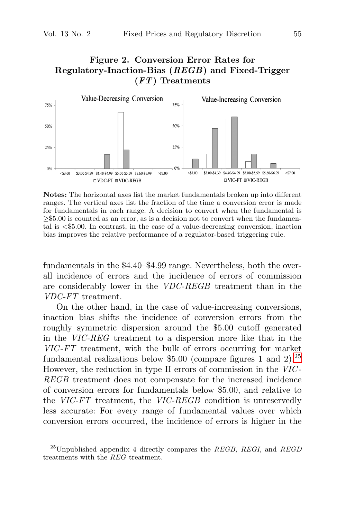# **Figure 2. Conversion Error Rates for Regulatory-Inaction-Bias (***REGB***) and Fixed-Trigger (***FT***) Treatments**



**Notes:** The horizontal axes list the market fundamentals broken up into different ranges. The vertical axes list the fraction of the time a conversion error is made for fundamentals in each range. A decision to convert when the fundamental is ≥\$5.00 is counted as an error, as is a decision not to convert when the fundamental is <\$5.00. In contrast, in the case of a value-decreasing conversion, inaction bias improves the relative performance of a regulator-based triggering rule.

fundamentals in the \$4.40–\$4.99 range. Nevertheless, both the overall incidence of errors and the incidence of errors of commission are considerably lower in the VDC-REGB treatment than in the VDC-FT treatment.

On the other hand, in the case of value-increasing conversions, inaction bias shifts the incidence of conversion errors from the roughly symmetric dispersion around the \$5.00 cutoff generated in the VIC-REG treatment to a dispersion more like that in the VIC -FT treatment, with the bulk of errors occurring for market fundamental realizations below \$5.00 (compare figures 1 and 2).<sup>25</sup> However, the reduction in type II errors of commission in the  $VIC$ -REGB treatment does not compensate for the increased incidence of conversion errors for fundamentals below \$5.00, and relative to the VIC-FT treatment, the VIC-REGB condition is unreservedly less accurate: For every range of fundamental values over which conversion errors occurred, the incidence of errors is higher in the

<sup>&</sup>lt;sup>25</sup>Unpublished appendix 4 directly compares the REGB, REGI, and REGD treatments with the REG treatment.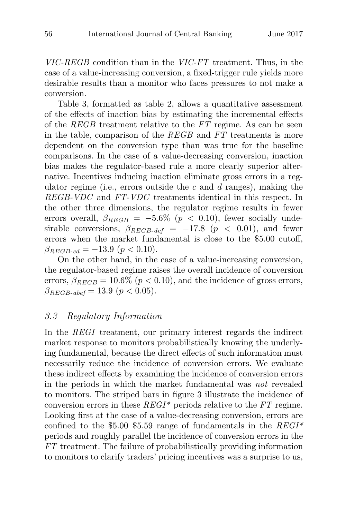VIC-REGB condition than in the VIC-FT treatment. Thus, in the case of a value-increasing conversion, a fixed-trigger rule yields more desirable results than a monitor who faces pressures to not make a conversion.

Table 3, formatted as table 2, allows a quantitative assessment of the effects of inaction bias by estimating the incremental effects of the REGB treatment relative to the FT regime. As can be seen in the table, comparison of the REGB and FT treatments is more dependent on the conversion type than was true for the baseline comparisons. In the case of a value-decreasing conversion, inaction bias makes the regulator-based rule a more clearly superior alternative. Incentives inducing inaction eliminate gross errors in a regulator regime (i.e., errors outside the c and d ranges), making the REGB-VDC and FT-VDC treatments identical in this respect. In the other three dimensions, the regulator regime results in fewer errors overall,  $\beta_{REGB} = -5.6\%$  ( $p < 0.10$ ), fewer socially undesirable conversions,  $\beta_{REGB-def} = -17.8$  ( $p < 0.01$ ), and fewer errors when the market fundamental is close to the \$5.00 cutoff,  $\beta_{REGB-cd} = -13.9 \ (p < 0.10).$ 

On the other hand, in the case of a value-increasing conversion, the regulator-based regime raises the overall incidence of conversion errors,  $\beta_{REGB} = 10.6\%$  ( $p < 0.10$ ), and the incidence of gross errors,  $\beta_{REGB\text{-}abef} = 13.9 \ (p < 0.05).$ 

# 3.3 Regulatory Information

In the REGI treatment, our primary interest regards the indirect market response to monitors probabilistically knowing the underlying fundamental, because the direct effects of such information must necessarily reduce the incidence of conversion errors. We evaluate these indirect effects by examining the incidence of conversion errors in the periods in which the market fundamental was not revealed to monitors. The striped bars in figure 3 illustrate the incidence of conversion errors in these  $REGI^*$  periods relative to the  $FT$  regime. Looking first at the case of a value-decreasing conversion, errors are confined to the \$5.00–\$5.59 range of fundamentals in the  $REGI^*$ periods and roughly parallel the incidence of conversion errors in the FT treatment. The failure of probabilistically providing information to monitors to clarify traders' pricing incentives was a surprise to us,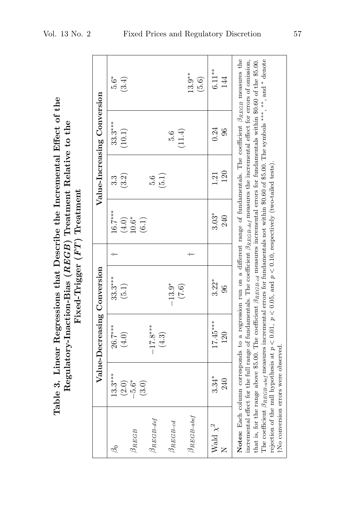|                                                                                                                                        |                              | Value-Increasing Conversion |
|----------------------------------------------------------------------------------------------------------------------------------------|------------------------------|-----------------------------|
| Table 3. Linear Regressions that Describe the Incremental Effect of the<br>Regulatory-Inaction-Bias $(REGB)$ Treatment Relative to the | Fixed-Trigger (FT) Treatment | Value-Decreasing Conversion |

|                            |                                      | Value-Decreasing Conversion                                                                                                                                                                                                                                                                                                                                                                                                                                                                                                                                                                                                                                                                                                     |                           |                  |                       | Value-Increasing Conversion |                   |
|----------------------------|--------------------------------------|---------------------------------------------------------------------------------------------------------------------------------------------------------------------------------------------------------------------------------------------------------------------------------------------------------------------------------------------------------------------------------------------------------------------------------------------------------------------------------------------------------------------------------------------------------------------------------------------------------------------------------------------------------------------------------------------------------------------------------|---------------------------|------------------|-----------------------|-----------------------------|-------------------|
| L                          | $13.3***$                            | 26.7***<br>(4.0)                                                                                                                                                                                                                                                                                                                                                                                                                                                                                                                                                                                                                                                                                                                | $33.3***$<br>(5.1)        | $16.7***$        | (3.2)<br>3.3          | $33.3***$<br>(10.1)         | $5.6*$<br>(3.4)   |
| $\beta_{REGB}$             | $(2.6)$<br>$-5.6$                    |                                                                                                                                                                                                                                                                                                                                                                                                                                                                                                                                                                                                                                                                                                                                 |                           | $(4.0)$<br>10.6* |                       |                             |                   |
| $\beta$ REGB-def           | (3.0)                                | $-17.8***$                                                                                                                                                                                                                                                                                                                                                                                                                                                                                                                                                                                                                                                                                                                      |                           | (6.1)            | 5.6                   |                             |                   |
| $\beta_{REGB-cd}$          |                                      | $(4.3)$                                                                                                                                                                                                                                                                                                                                                                                                                                                                                                                                                                                                                                                                                                                         | $-13.9*$                  |                  | (5.1)                 | 5.6                         |                   |
| $\beta_{REGB\text{-}abef}$ |                                      |                                                                                                                                                                                                                                                                                                                                                                                                                                                                                                                                                                                                                                                                                                                                 | (7.6)                     |                  |                       | (11.4)                      | $13.9**$<br>(5.6) |
| Wald $\chi^2$              | $3.34*$<br>240                       | $17.45***$<br>120                                                                                                                                                                                                                                                                                                                                                                                                                                                                                                                                                                                                                                                                                                               | $3.22*$<br>$\frac{6}{20}$ | $3.03*$<br>240   | 120<br>$\frac{21}{2}$ | 0.24<br>96                  | $6.11**$<br>144   |
|                            |                                      | Notes: Each column corresponds to a regression run on a different range of fundamentals. The coefficient $\beta_{REGB}$ measures the<br>incremental effect for the full range of fundamentals. The coefficient $\beta_{REGB\text{-}def}$ measures the incremental effect for errors of omission,<br>The coefficient $\beta_{REGB\text{-}abs}$ measures incremental errors for fundamentals not within \$0.60 of \$5.00. The symbols ***, **, and * denote<br>that is, for the range above \$5.00. The coefficient $\beta_{REGBcd}$ measures incremental errors for fundamentals within \$0.60 of the \$5.00.<br>rejection of the null hypothesis at $p < 0.01$ , $p < 0.05$ , and $p < 0.10$ , respectively (two-tailed tests). |                           |                  |                       |                             |                   |
|                            | †No conversion errors were observed. |                                                                                                                                                                                                                                                                                                                                                                                                                                                                                                                                                                                                                                                                                                                                 |                           |                  |                       |                             |                   |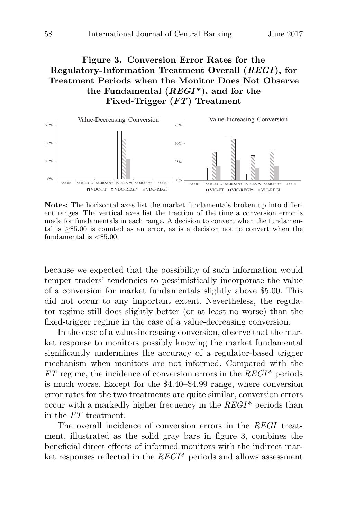# **Figure 3. Conversion Error Rates for the Regulatory-Information Treatment Overall (***REGI* **), for Treatment Periods when the Monitor Does Not Observe the Fundamental (***REGI\****), and for the Fixed-Trigger (***FT***) Treatment**



**Notes:** The horizontal axes list the market fundamentals broken up into different ranges. The vertical axes list the fraction of the time a conversion error is made for fundamentals in each range. A decision to convert when the fundamental is ≥\$5.00 is counted as an error, as is a decision not to convert when the fundamental is  $\langle$ \$5.00.

because we expected that the possibility of such information would temper traders' tendencies to pessimistically incorporate the value of a conversion for market fundamentals slightly above \$5.00. This did not occur to any important extent. Nevertheless, the regulator regime still does slightly better (or at least no worse) than the fixed-trigger regime in the case of a value-decreasing conversion.

In the case of a value-increasing conversion, observe that the market response to monitors possibly knowing the market fundamental significantly undermines the accuracy of a regulator-based trigger mechanism when monitors are not informed. Compared with the  $FT$  regime, the incidence of conversion errors in the  $REGI^*$  periods is much worse. Except for the \$4.40–\$4.99 range, where conversion error rates for the two treatments are quite similar, conversion errors occur with a markedly higher frequency in the  $REGI^*$  periods than in the FT treatment.

The overall incidence of conversion errors in the REGI treatment, illustrated as the solid gray bars in figure 3, combines the beneficial direct effects of informed monitors with the indirect market responses reflected in the  $REGI^*$  periods and allows assessment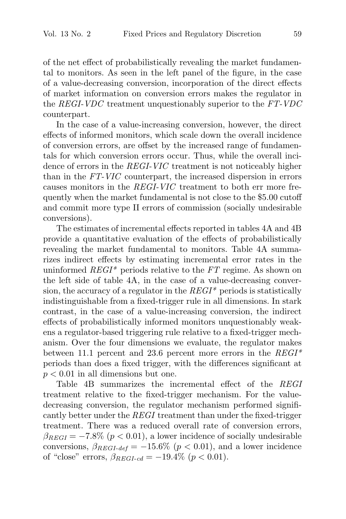of the net effect of probabilistically revealing the market fundamental to monitors. As seen in the left panel of the figure, in the case of a value-decreasing conversion, incorporation of the direct effects of market information on conversion errors makes the regulator in the REGI-VDC treatment unquestionably superior to the FT-VDC counterpart.

In the case of a value-increasing conversion, however, the direct effects of informed monitors, which scale down the overall incidence of conversion errors, are offset by the increased range of fundamentals for which conversion errors occur. Thus, while the overall incidence of errors in the REGI-VIC treatment is not noticeably higher than in the FT-VIC counterpart, the increased dispersion in errors causes monitors in the REGI-VIC treatment to both err more frequently when the market fundamental is not close to the \$5.00 cutoff and commit more type II errors of commission (socially undesirable conversions).

The estimates of incremental effects reported in tables 4A and 4B provide a quantitative evaluation of the effects of probabilistically revealing the market fundamental to monitors. Table 4A summarizes indirect effects by estimating incremental error rates in the uninformed  $REGI^*$  periods relative to the FT regime. As shown on the left side of table 4A, in the case of a value-decreasing conversion, the accuracy of a regulator in the  $REGI^*$  periods is statistically indistinguishable from a fixed-trigger rule in all dimensions. In stark contrast, in the case of a value-increasing conversion, the indirect effects of probabilistically informed monitors unquestionably weakens a regulator-based triggering rule relative to a fixed-trigger mechanism. Over the four dimensions we evaluate, the regulator makes between 11.1 percent and 23.6 percent more errors in the  $REGI^*$ periods than does a fixed trigger, with the differences significant at  $p < 0.01$  in all dimensions but one.

Table 4B summarizes the incremental effect of the REGI treatment relative to the fixed-trigger mechanism. For the valuedecreasing conversion, the regulator mechanism performed significantly better under the REGI treatment than under the fixed-trigger treatment. There was a reduced overall rate of conversion errors,  $\beta_{REGI} = -7.8\%$  ( $p < 0.01$ ), a lower incidence of socially undesirable conversions,  $\beta_{REGI\text{-}def} = -15.6\%$  ( $p < 0.01$ ), and a lower incidence of "close" errors,  $\beta_{REGI-cd} = -19.4\%$  ( $p < 0.01$ ).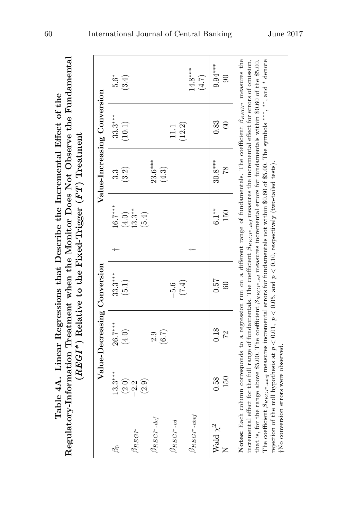|                               |                                      | Value-Decreasing Conversion                                                                                                                                                                                                                                                                                                                                                                                                                                                                                                                                                                                                                                                                                                                  |                    |                            |                    | Value-Increasing Conversion |                             |
|-------------------------------|--------------------------------------|----------------------------------------------------------------------------------------------------------------------------------------------------------------------------------------------------------------------------------------------------------------------------------------------------------------------------------------------------------------------------------------------------------------------------------------------------------------------------------------------------------------------------------------------------------------------------------------------------------------------------------------------------------------------------------------------------------------------------------------------|--------------------|----------------------------|--------------------|-----------------------------|-----------------------------|
| S                             | $13.3***$<br>(2.0)                   | $26.7***$<br>(4.0)                                                                                                                                                                                                                                                                                                                                                                                                                                                                                                                                                                                                                                                                                                                           | $33.3***$<br>(5.1) | $16.7***$                  | (3.2)<br>3.3       | $33.3***$<br>(10.1)         | $5.6*$<br>(3.4)             |
| $\beta_{REGI^*}$              | $-2.2$<br>(2.9)                      |                                                                                                                                                                                                                                                                                                                                                                                                                                                                                                                                                                                                                                                                                                                                              |                    | $(4.0)$<br>13.3**<br>(5.4) |                    |                             |                             |
| $\beta_{REGI^*-\textit{def}}$ |                                      | $(6.7)$<br>$-2.9$                                                                                                                                                                                                                                                                                                                                                                                                                                                                                                                                                                                                                                                                                                                            |                    |                            | $23.6***$<br>(4.3) |                             |                             |
| $\beta_{REG^{r-}cd}$          |                                      |                                                                                                                                                                                                                                                                                                                                                                                                                                                                                                                                                                                                                                                                                                                                              | $-5.6$<br>(7.4)    |                            |                    | (12.2)<br>11.1              |                             |
| $\beta_{REGI^*\text{-}abef}$  |                                      |                                                                                                                                                                                                                                                                                                                                                                                                                                                                                                                                                                                                                                                                                                                                              |                    |                            |                    |                             | $14.8***$<br>(4.7)          |
| Wald $\chi^2$                 | 150<br>0.58                          | 0.18<br>72                                                                                                                                                                                                                                                                                                                                                                                                                                                                                                                                                                                                                                                                                                                                   | 0.57<br>$60\,$     | $6.1**$<br>150             | $30.8***$<br>81    | 0.83<br>60                  | $9.94***$<br>$\overline{0}$ |
|                               | tNo conversion errors were observed. | Notes: Each column corresponds to a regression run on a different range of fundamentals. The coefficient $\beta_{RBGf}$ <sup>*</sup> measures the<br>The coefficient $\beta_{REGP^* \text{-}abel}$ measures incremental errors for fundamentals not within \$0.60 of \$5.00. The symbols ***, **, and * denote<br>incremental effect for the full range of fundamentals. The coefficient $\beta_{REG^*-\ellef}$ measures the incremental effect for errors of omission,<br>that is, for the range above \$5.00. The coefficient $\beta_{REG}$ a measures incremental errors for fundamentals within \$0.60 of the \$5.00.<br>rejection of the null hypothesis at $p < 0.01$ , $p < 0.05$ , and $p < 0.10$ , respectively (two-tailed tests). |                    |                            |                    |                             |                             |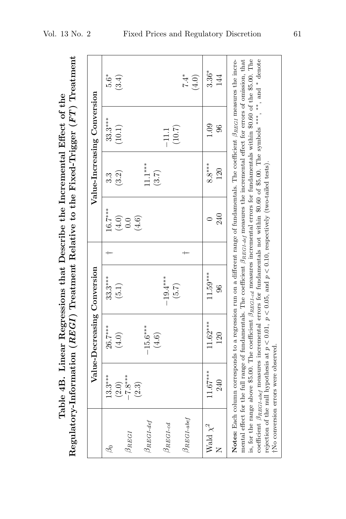|                                                                                                                                                                         | Value-Increasing Conversion |
|-------------------------------------------------------------------------------------------------------------------------------------------------------------------------|-----------------------------|
| Regulatory-Information ( $REG$ ) Treatment Relative to the Fixed-Trigger ( $FT$ ) Treatment<br>Table 4B. Linear Regressions that Describe the Incremental Effect of the | Value-Decreasing Conversion |

|                            |                                      | Value-Decreasing Conversion                                                                                                                                                                                                                                                                                                                                                                                                                                                                                                                                                                                                                                                                                                 |                      |                         |                   | Value-Increasing Conversion |                 |
|----------------------------|--------------------------------------|-----------------------------------------------------------------------------------------------------------------------------------------------------------------------------------------------------------------------------------------------------------------------------------------------------------------------------------------------------------------------------------------------------------------------------------------------------------------------------------------------------------------------------------------------------------------------------------------------------------------------------------------------------------------------------------------------------------------------------|----------------------|-------------------------|-------------------|-----------------------------|-----------------|
| L                          | $13.3***$                            | 26.7***<br>(4.0)                                                                                                                                                                                                                                                                                                                                                                                                                                                                                                                                                                                                                                                                                                            | $33.3***$<br>(5.1)   | $16.7***$               | (3.2)<br>3.3      | $33.3***$<br>(10.1)         | $5.6*$<br>(3.4) |
| $\beta_{REG}$              | $(2.0)$<br>$-7.8***$<br>(2.3)        |                                                                                                                                                                                                                                                                                                                                                                                                                                                                                                                                                                                                                                                                                                                             |                      | $(4.0)$<br>0.0<br>(4.6) |                   |                             |                 |
| $B$ REGI-def               |                                      | $-15.6***$<br>$(4.6)$                                                                                                                                                                                                                                                                                                                                                                                                                                                                                                                                                                                                                                                                                                       |                      |                         | $1.1***$<br>(3.7) |                             |                 |
| $\beta_{REGI\text{-}cd}$   |                                      |                                                                                                                                                                                                                                                                                                                                                                                                                                                                                                                                                                                                                                                                                                                             | $-19.4***$           |                         |                   | $-11.1$                     |                 |
| $\beta_{REGI\text{-}abef}$ |                                      |                                                                                                                                                                                                                                                                                                                                                                                                                                                                                                                                                                                                                                                                                                                             | (5.7)                |                         |                   | $(10.7)$                    | $7.4*$<br>(4.0) |
| Wald $\chi^2$              | $11.67***$<br>240                    | $11.62***$<br>120                                                                                                                                                                                                                                                                                                                                                                                                                                                                                                                                                                                                                                                                                                           | $11.59***$<br>$96\,$ | 240                     | $8.8***$<br>120   | 0.0<br>96                   | $3.36*$<br>144  |
|                            | tNo conversion errors were observed. | is, for the range above \$5.00. The coefficient $\beta_{REGLell}$ measures incremental errors for fundamentals within \$0.60 of the \$5.00. The<br>coefficient $\beta_{REG-abel}$ measures incremental errors for fundamentals not within \$0.60 of \$5.00. The symbols ***, **, and * denote<br><b>Notes:</b> Each column corresponds to a regression run on a different range of fundamentals. The coefficient $\beta_{REGI}$ measures the incre-<br>mental effect for the full range of fundamentals. The coefficient $\beta_{REG1-def}$ measures the incremental effect for errors of omission, that<br>rejection of the null hypothesis at $p < 0.01$ , $p < 0.05$ , and $p < 0.10$ , respectively (two-tailed tests). |                      |                         |                   |                             |                 |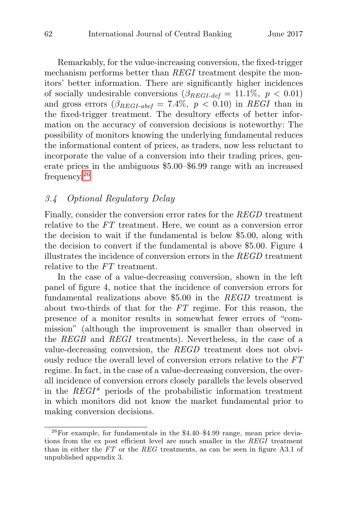Remarkably, for the value-increasing conversion, the fixed-trigger mechanism performs better than REGI treatment despite the monitors' better information. There are significantly higher incidences of socially undesirable conversions  $(\beta_{REGI\text{-}def} = 11.1\%, p < 0.01)$ and gross errors  $(\beta_{REGI-abel} = 7.4\%, p < 0.10)$  in REGI than in the fixed-trigger treatment. The desultory effects of better information on the accuracy of conversion decisions is noteworthy: The possibility of monitors knowing the underlying fundamental reduces the informational content of prices, as traders, now less reluctant to incorporate the value of a conversion into their trading prices, generate prices in the ambiguous \$5.00–\$6.99 range with an increased frequency.<sup>26</sup>

## 3.4 Optional Regulatory Delay

Finally, consider the conversion error rates for the REGD treatment relative to the FT treatment. Here, we count as a conversion error the decision to wait if the fundamental is below \$5.00, along with the decision to convert if the fundamental is above \$5.00. Figure 4 illustrates the incidence of conversion errors in the REGD treatment relative to the FT treatment.

In the case of a value-decreasing conversion, shown in the left panel of figure 4, notice that the incidence of conversion errors for fundamental realizations above \$5.00 in the REGD treatment is about two-thirds of that for the FT regime. For this reason, the presence of a monitor results in somewhat fewer errors of "commission" (although the improvement is smaller than observed in the REGB and REGI treatments). Nevertheless, in the case of a value-decreasing conversion, the REGD treatment does not obviously reduce the overall level of conversion errors relative to the FT regime. In fact, in the case of a value-decreasing conversion, the overall incidence of conversion errors closely parallels the levels observed in the  $REGI^*$  periods of the probabilistic information treatment in which monitors did not know the market fundamental prior to making conversion decisions.

 $^{26}$ For example, for fundamentals in the \$4.40–\$4.99 range, mean price deviations from the ex post efficient level are much smaller in the REGI treatment than in either the FT or the REG treatments, as can be seen in figure A3.1 of unpublished appendix 3.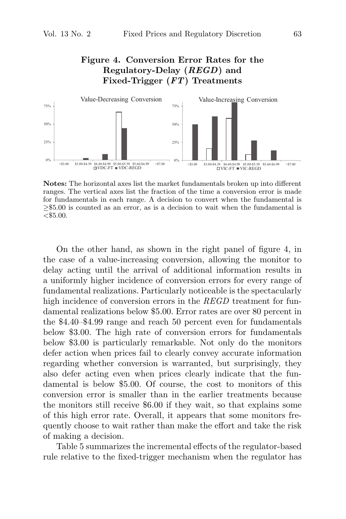# **Figure 4. Conversion Error Rates for the Regulatory-Delay (***REGD***) and Fixed-Trigger (***FT***) Treatments**



**Notes:** The horizontal axes list the market fundamentals broken up into different ranges. The vertical axes list the fraction of the time a conversion error is made for fundamentals in each range. A decision to convert when the fundamental is ≥\$5.00 is counted as an error, as is a decision to wait when the fundamental is  $< $5.00.$ 

On the other hand, as shown in the right panel of figure 4, in the case of a value-increasing conversion, allowing the monitor to delay acting until the arrival of additional information results in a uniformly higher incidence of conversion errors for every range of fundamental realizations. Particularly noticeable is the spectacularly high incidence of conversion errors in the REGD treatment for fundamental realizations below \$5.00. Error rates are over 80 percent in the \$4.40–\$4.99 range and reach 50 percent even for fundamentals below \$3.00. The high rate of conversion errors for fundamentals below \$3.00 is particularly remarkable. Not only do the monitors defer action when prices fail to clearly convey accurate information regarding whether conversion is warranted, but surprisingly, they also defer acting even when prices clearly indicate that the fundamental is below \$5.00. Of course, the cost to monitors of this conversion error is smaller than in the earlier treatments because the monitors still receive \$6.00 if they wait, so that explains some of this high error rate. Overall, it appears that some monitors frequently choose to wait rather than make the effort and take the risk of making a decision.

Table 5 summarizes the incremental effects of the regulator-based rule relative to the fixed-trigger mechanism when the regulator has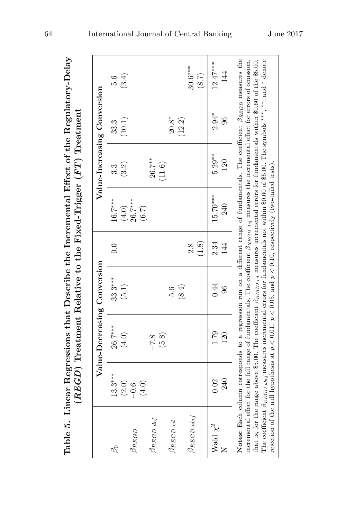|                     |                              | Value-Decreasing Conversion                                                                                                                                                                                                                                                                                                                                                                                                                                      |            |              |                    |                 | Value-Increasing Conversion |                    |
|---------------------|------------------------------|------------------------------------------------------------------------------------------------------------------------------------------------------------------------------------------------------------------------------------------------------------------------------------------------------------------------------------------------------------------------------------------------------------------------------------------------------------------|------------|--------------|--------------------|-----------------|-----------------------------|--------------------|
| L                   | $13.3***$                    | $26.7***$                                                                                                                                                                                                                                                                                                                                                                                                                                                        | $33.3***$  | 0.0          | $16.7***$          | 3.<br>S         | 33.3                        | 5.6                |
| $\beta_{REGD}$      | $(2.0)$<br>$-0.6$<br>$(4.0)$ | (4.0)                                                                                                                                                                                                                                                                                                                                                                                                                                                            | $(5.1)$    |              | $(4.0)$<br>26.7*** | (3.2)           | (10.1)                      | (3.4)              |
| JREGD-def           |                              | $-7.8$                                                                                                                                                                                                                                                                                                                                                                                                                                                           |            |              | (6.7)              | $26.7***$       |                             |                    |
| $\beta_{REGD-cd}$   |                              | (5.8)                                                                                                                                                                                                                                                                                                                                                                                                                                                            | $-5.6$     |              |                    | (11.6)          | $20.8^*$                    |                    |
| $\beta_{REGD-abel}$ |                              |                                                                                                                                                                                                                                                                                                                                                                                                                                                                  | (8.4)      | (1.8)<br>2.8 |                    |                 | (12.2)                      | $30.6***$<br>(8.7) |
| Wald $\chi^2$       | 240<br>0.02                  | 1.79<br>120                                                                                                                                                                                                                                                                                                                                                                                                                                                      | 0.44<br>96 | 2.34<br>144  | 15.70***<br>240    | $5.29**$<br>120 | $2.94*$<br>96               | $12.47***$<br>144  |
|                     |                              | Notes: Each column corresponds to a regression run on a different range of fundamentals. The coefficient $\beta_{REGD}$ measures the                                                                                                                                                                                                                                                                                                                             |            |              |                    |                 |                             |                    |
|                     |                              | incremental effect for the full range of fundamentals. The coefficient $\beta_{REGD\_def}$ measures the incremental effect for errors of omission,<br>The coefficient $\beta_{REGD\text{-}abel}$ measures incremental errors for fundamentals not within \$0.60 of \$5.00. The symbols ***, **, and * denote<br>that is, for the range above \$5.00. The coefficient $\beta_{REGD-cd}$ measures incremental errors for fundamentals within \$0.60 of the \$5.00. |            |              |                    |                 |                             |                    |
|                     |                              | rejection of the null hypothesis at $p < 0.01$ , $p < 0.05$ , and $p < 0.10$ , respectively (two-tailed tests).                                                                                                                                                                                                                                                                                                                                                  |            |              |                    |                 |                             |                    |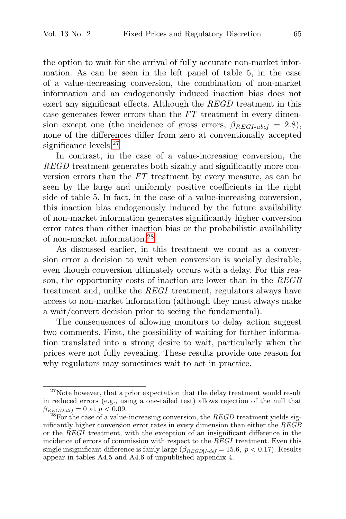the option to wait for the arrival of fully accurate non-market information. As can be seen in the left panel of table 5, in the case of a value-decreasing conversion, the combination of non-market information and an endogenously induced inaction bias does not exert any significant effects. Although the REGD treatment in this case generates fewer errors than the FT treatment in every dimension except one (the incidence of gross errors,  $\beta_{REGI-abel} = 2.8$ ), none of the differences differ from zero at conventionally accepted significance levels.<sup>27</sup>

In contrast, in the case of a value-increasing conversion, the REGD treatment generates both sizably and significantly more conversion errors than the FT treatment by every measure, as can be seen by the large and uniformly positive coefficients in the right side of table 5. In fact, in the case of a value-increasing conversion, this inaction bias endogenously induced by the future availability of non-market information generates significantly higher conversion error rates than either inaction bias or the probabilistic availability of non-market information.<sup>28</sup>

As discussed earlier, in this treatment we count as a conversion error a decision to wait when conversion is socially desirable, even though conversion ultimately occurs with a delay. For this reason, the opportunity costs of inaction are lower than in the REGB treatment and, unlike the REGI treatment, regulators always have access to non-market information (although they must always make a wait/convert decision prior to seeing the fundamental).

The consequences of allowing monitors to delay action suggest two comments. First, the possibility of waiting for further information translated into a strong desire to wait, particularly when the prices were not fully revealing. These results provide one reason for why regulators may sometimes wait to act in practice.

 $27$ Note however, that a prior expectation that the delay treatment would result in reduced errors (e.g., using a one-tailed test) allows rejection of the null that  $\beta_{REGD\text{-}def} = 0$  at  $p < 0.09$ .<br><sup>28</sup>For the case of a value-increasing conversion, the *REGD* treatment yields sig-

nificantly higher conversion error rates in every dimension than either the REGB or the REGI treatment, with the exception of an insignificant difference in the incidence of errors of commission with respect to the REGI treatment. Even this single insignificant difference is fairly large  $(\beta_{REGD|Ldef} = 15.6, p < 0.17)$ . Results appear in tables A4.5 and A4.6 of unpublished appendix 4.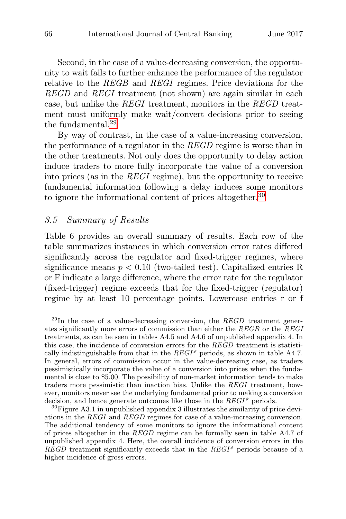Second, in the case of a value-decreasing conversion, the opportunity to wait fails to further enhance the performance of the regulator relative to the REGB and REGI regimes. Price deviations for the REGD and REGI treatment (not shown) are again similar in each case, but unlike the  $REGI$  treatment, monitors in the  $REGD$  treatment must uniformly make wait/convert decisions prior to seeing the fundamental.<sup>29</sup>

By way of contrast, in the case of a value-increasing conversion, the performance of a regulator in the REGD regime is worse than in the other treatments. Not only does the opportunity to delay action induce traders to more fully incorporate the value of a conversion into prices (as in the REGI regime), but the opportunity to receive fundamental information following a delay induces some monitors to ignore the informational content of prices altogether.<sup>30</sup>

# 3.5 Summary of Results

Table 6 provides an overall summary of results. Each row of the table summarizes instances in which conversion error rates differed significantly across the regulator and fixed-trigger regimes, where significance means  $p < 0.10$  (two-tailed test). Capitalized entries R or F indicate a large difference, where the error rate for the regulator (fixed-trigger) regime exceeds that for the fixed-trigger (regulator) regime by at least 10 percentage points. Lowercase entries r or f

 $^{29}$ In the case of a value-decreasing conversion, the REGD treatment generates significantly more errors of commission than either the REGB or the REGI treatments, as can be seen in tables A4.5 and A4.6 of unpublished appendix 4. In this case, the incidence of conversion errors for the REGD treatment is statistically indistinguishable from that in the  $REGI^*$  periods, as shown in table A4.7. In general, errors of commission occur in the value-decreasing case, as traders pessimistically incorporate the value of a conversion into prices when the fundamental is close to \$5.00. The possibility of non-market information tends to make traders more pessimistic than inaction bias. Unlike the REGI treatment, however, monitors never see the underlying fundamental prior to making a conversion decision, and hence generate outcomes like those in the  $REGI^*$  periods.<br><sup>30</sup>Figure A3.1 in unpublished appendix 3 illustrates the similarity of price devi-

ations in the REGI and REGD regimes for case of a value-increasing conversion. The additional tendency of some monitors to ignore the informational content of prices altogether in the REGD regime can be formally seen in table A4.7 of unpublished appendix 4. Here, the overall incidence of conversion errors in the REGD treatment significantly exceeds that in the  $REGI^*$  periods because of a higher incidence of gross errors.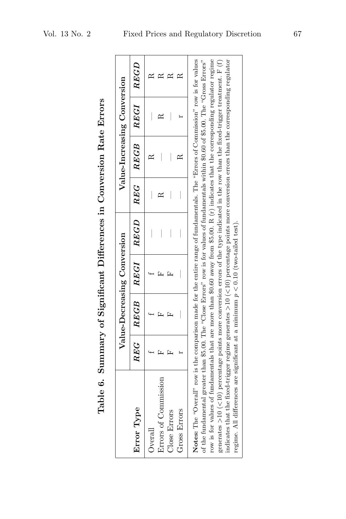| Table 6. Summary of Significant Differences in Conversion Rate Errors                                                                                                                                                                                                                                                                                                                                                                                                                                                                                                                                                                                                                                     |                 |                             |               |   |                             |      |
|-----------------------------------------------------------------------------------------------------------------------------------------------------------------------------------------------------------------------------------------------------------------------------------------------------------------------------------------------------------------------------------------------------------------------------------------------------------------------------------------------------------------------------------------------------------------------------------------------------------------------------------------------------------------------------------------------------------|-----------------|-----------------------------|---------------|---|-----------------------------|------|
|                                                                                                                                                                                                                                                                                                                                                                                                                                                                                                                                                                                                                                                                                                           |                 | Value-Decreasing Conversion |               |   | Value-Increasing Conversion |      |
| Error Type                                                                                                                                                                                                                                                                                                                                                                                                                                                                                                                                                                                                                                                                                                | $\mathbb{R}E G$ | ${\it REGB}$                | $REGI$ $REGD$ |   | $REG \mid REG \mid REG$     | REGD |
| Overall                                                                                                                                                                                                                                                                                                                                                                                                                                                                                                                                                                                                                                                                                                   |                 |                             |               | I |                             |      |
| Errors of Commission                                                                                                                                                                                                                                                                                                                                                                                                                                                                                                                                                                                                                                                                                      |                 |                             |               |   |                             |      |
| Close Errors                                                                                                                                                                                                                                                                                                                                                                                                                                                                                                                                                                                                                                                                                              |                 | Ŀц                          |               | I | $\overline{\phantom{a}}$    |      |
| Gross Errors                                                                                                                                                                                                                                                                                                                                                                                                                                                                                                                                                                                                                                                                                              |                 |                             |               |   |                             |      |
| indicates that the fixed-trigger regime generates >10 (<10) percentage points more conversion errors than the corresponding regulator<br>Notes: The "Overall" row is the comparison made for the entire range of fundamentals. The "Errors of Commission" row is for values<br>row is for values of fundamentals that are more than \$0.60 away from \$5.00. R (r) indicates that the corresponding regulator regime<br>of the fundamental greater than \$5.00. The "Close Errors" row is for values of fundamentals within \$0.60 of \$5.00. The "Gross Errors"<br>generates >10 (<10) percentage points more conversion errors of the type indicated in the row than the fixed-trigger treatment. F (f) |                 |                             |               |   |                             |      |

regime. All differences are significant at a minimum  $p < 0.10$  (two-tailed test).

regime. All differences are significant at a minimum  $p < 0.10$  (two-tailed test).

Table 6. Summary of Significant Differences in Conversion Rate Errors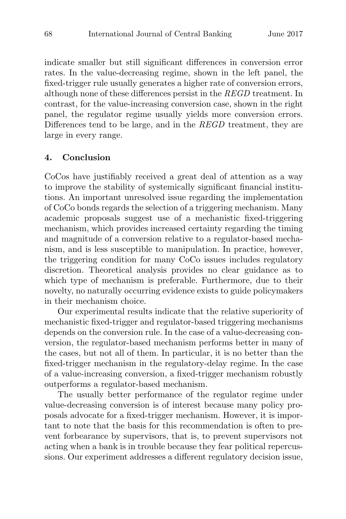indicate smaller but still significant differences in conversion error rates. In the value-decreasing regime, shown in the left panel, the fixed-trigger rule usually generates a higher rate of conversion errors, although none of these differences persist in the REGD treatment. In contrast, for the value-increasing conversion case, shown in the right panel, the regulator regime usually yields more conversion errors. Differences tend to be large, and in the REGD treatment, they are large in every range.

#### **4. Conclusion**

CoCos have justifiably received a great deal of attention as a way to improve the stability of systemically significant financial institutions. An important unresolved issue regarding the implementation of CoCo bonds regards the selection of a triggering mechanism. Many academic proposals suggest use of a mechanistic fixed-triggering mechanism, which provides increased certainty regarding the timing and magnitude of a conversion relative to a regulator-based mechanism, and is less susceptible to manipulation. In practice, however, the triggering condition for many CoCo issues includes regulatory discretion. Theoretical analysis provides no clear guidance as to which type of mechanism is preferable. Furthermore, due to their novelty, no naturally occurring evidence exists to guide policymakers in their mechanism choice.

Our experimental results indicate that the relative superiority of mechanistic fixed-trigger and regulator-based triggering mechanisms depends on the conversion rule. In the case of a value-decreasing conversion, the regulator-based mechanism performs better in many of the cases, but not all of them. In particular, it is no better than the fixed-trigger mechanism in the regulatory-delay regime. In the case of a value-increasing conversion, a fixed-trigger mechanism robustly outperforms a regulator-based mechanism.

The usually better performance of the regulator regime under value-decreasing conversion is of interest because many policy proposals advocate for a fixed-trigger mechanism. However, it is important to note that the basis for this recommendation is often to prevent forbearance by supervisors, that is, to prevent supervisors not acting when a bank is in trouble because they fear political repercussions. Our experiment addresses a different regulatory decision issue,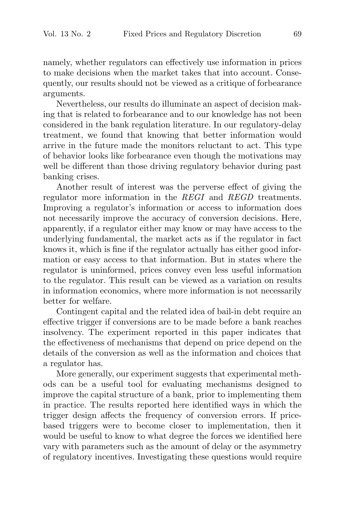namely, whether regulators can effectively use information in prices to make decisions when the market takes that into account. Consequently, our results should not be viewed as a critique of forbearance arguments.

Nevertheless, our results do illuminate an aspect of decision making that is related to forbearance and to our knowledge has not been considered in the bank regulation literature. In our regulatory-delay treatment, we found that knowing that better information would arrive in the future made the monitors reluctant to act. This type of behavior looks like forbearance even though the motivations may well be different than those driving regulatory behavior during past banking crises.

Another result of interest was the perverse effect of giving the regulator more information in the REGI and REGD treatments. Improving a regulator's information or access to information does not necessarily improve the accuracy of conversion decisions. Here, apparently, if a regulator either may know or may have access to the underlying fundamental, the market acts as if the regulator in fact knows it, which is fine if the regulator actually has either good information or easy access to that information. But in states where the regulator is uninformed, prices convey even less useful information to the regulator. This result can be viewed as a variation on results in information economics, where more information is not necessarily better for welfare.

Contingent capital and the related idea of bail-in debt require an effective trigger if conversions are to be made before a bank reaches insolvency. The experiment reported in this paper indicates that the effectiveness of mechanisms that depend on price depend on the details of the conversion as well as the information and choices that a regulator has.

More generally, our experiment suggests that experimental methods can be a useful tool for evaluating mechanisms designed to improve the capital structure of a bank, prior to implementing them in practice. The results reported here identified ways in which the trigger design affects the frequency of conversion errors. If pricebased triggers were to become closer to implementation, then it would be useful to know to what degree the forces we identified here vary with parameters such as the amount of delay or the asymmetry of regulatory incentives. Investigating these questions would require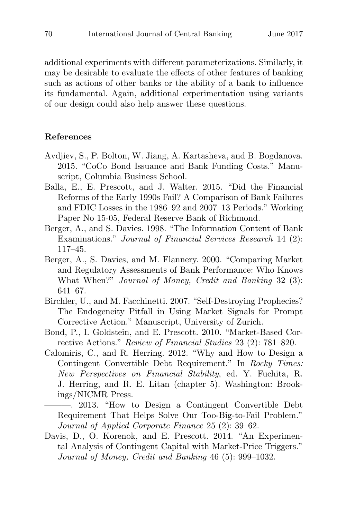additional experiments with different parameterizations. Similarly, it may be desirable to evaluate the effects of other features of banking such as actions of other banks or the ability of a bank to influence its fundamental. Again, additional experimentation using variants of our design could also help answer these questions.

#### **References**

- Avdjiev, S., P. Bolton, W. Jiang, A. Kartasheva, and B. Bogdanova. 2015. "CoCo Bond Issuance and Bank Funding Costs." Manuscript, Columbia Business School.
- Balla, E., E. Prescott, and J. Walter. 2015. "Did the Financial Reforms of the Early 1990s Fail? A Comparison of Bank Failures and FDIC Losses in the 1986–92 and 2007–13 Periods." Working Paper No 15-05, Federal Reserve Bank of Richmond.
- Berger, A., and S. Davies. 1998. "The Information Content of Bank Examinations." Journal of Financial Services Research 14 (2): 117–45.
- Berger, A., S. Davies, and M. Flannery. 2000. "Comparing Market and Regulatory Assessments of Bank Performance: Who Knows What When?" Journal of Money, Credit and Banking 32 (3): 641–67.
- Birchler, U., and M. Facchinetti. 2007. "Self-Destroying Prophecies? The Endogeneity Pitfall in Using Market Signals for Prompt Corrective Action." Manuscript, University of Zurich.
- Bond, P., I. Goldstein, and E. Prescott. 2010. "Market-Based Corrective Actions." Review of Financial Studies 23 (2): 781–820.
- Calomiris, C., and R. Herring. 2012. "Why and How to Design a Contingent Convertible Debt Requirement." In Rocky Times: New Perspectives on Financial Stability, ed. Y. Fuchita, R. J. Herring, and R. E. Litan (chapter 5). Washington: Brookings/NICMR Press.

———. 2013. "How to Design a Contingent Convertible Debt Requirement That Helps Solve Our Too-Big-to-Fail Problem." Journal of Applied Corporate Finance 25 (2): 39–62.

Davis, D., O. Korenok, and E. Prescott. 2014. "An Experimental Analysis of Contingent Capital with Market-Price Triggers." Journal of Money, Credit and Banking 46 (5): 999–1032.